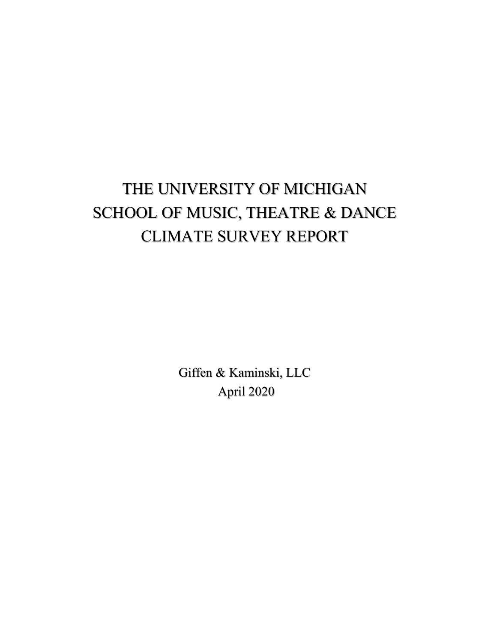# THE UNIVERSITY OF MICHIGAN SCHOOL OF MUSIC, THEATRE & DANCE CLIMATE SURVEY REPORT

Giffen & Kaminski, LLC April 2020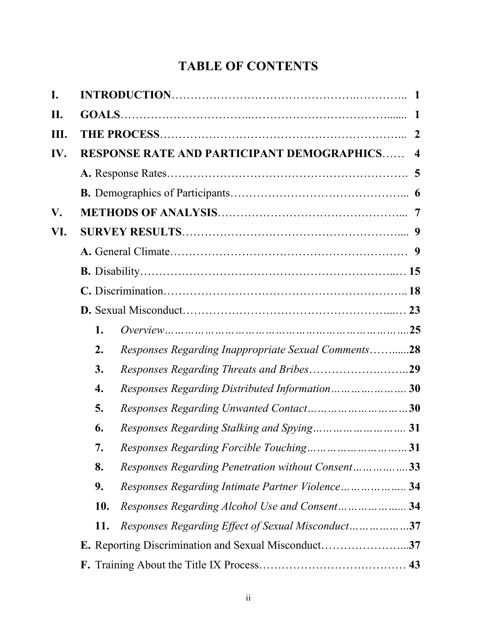# **TABLE OF CONTENTS**

| I.   |     |                                                     |  |
|------|-----|-----------------------------------------------------|--|
| П.   |     |                                                     |  |
| III. |     |                                                     |  |
| IV.  |     | <b>RESPONSE RATE AND PARTICIPANT DEMOGRAPHICS 4</b> |  |
|      |     |                                                     |  |
|      |     |                                                     |  |
| V.   |     |                                                     |  |
| VI.  |     |                                                     |  |
|      |     |                                                     |  |
|      |     |                                                     |  |
|      |     |                                                     |  |
|      |     |                                                     |  |
|      | 1.  |                                                     |  |
|      | 2.  | Responses Regarding Inappropriate Sexual Comments28 |  |
|      | 3.  |                                                     |  |
|      | 4.  | Responses Regarding Distributed Information 30      |  |
|      | 5.  |                                                     |  |
|      | 6.  |                                                     |  |
|      | 7.  |                                                     |  |
|      | 8.  | Responses Regarding Penetration without Consent33   |  |
|      | 9.  | Responses Regarding Intimate Partner Violence 34    |  |
|      | 10. | Responses Regarding Alcohol Use and Consent 34      |  |
|      | 11. | Responses Regarding Effect of Sexual Misconduct37   |  |
|      |     | E. Reporting Discrimination and Sexual Misconduct37 |  |
|      |     |                                                     |  |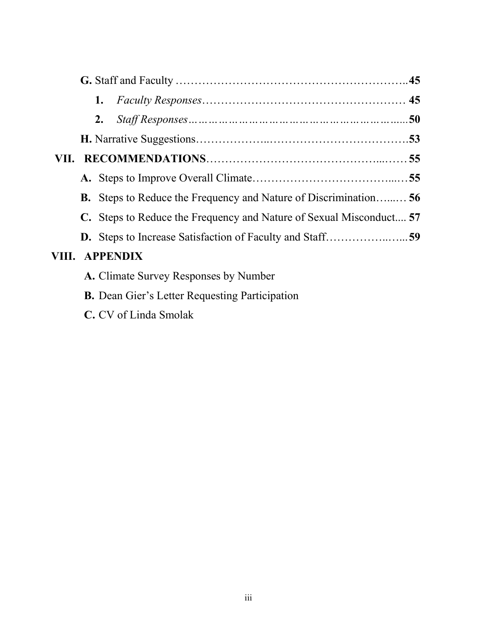|      | 1.                                                                      |  |
|------|-------------------------------------------------------------------------|--|
|      | 2.                                                                      |  |
|      |                                                                         |  |
| VII. |                                                                         |  |
|      |                                                                         |  |
|      | <b>B.</b> Steps to Reduce the Frequency and Nature of Discrimination 56 |  |
|      | C. Steps to Reduce the Frequency and Nature of Sexual Misconduct 57     |  |
|      |                                                                         |  |
|      | VIII. APPENDIX                                                          |  |
|      | A. Climate Survey Responses by Number                                   |  |

- **B.** Dean Gier's Letter Requesting Participation
- **C.** CV of Linda Smolak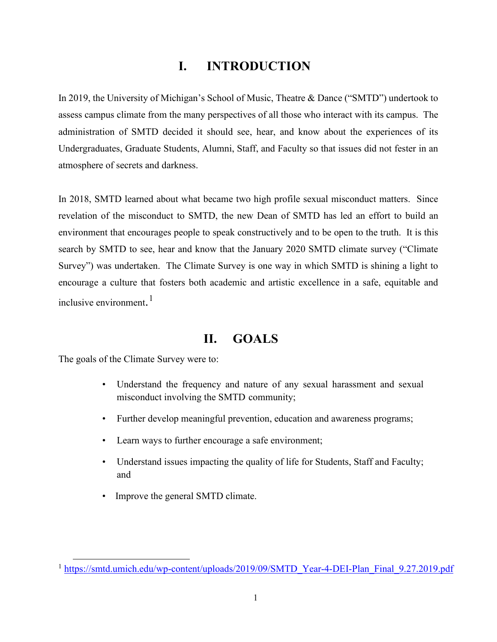# **I. INTRODUCTION**

In 2019, the University of Michigan's School of Music, Theatre & Dance ("SMTD") undertook to assess campus climate from the many perspectives of all those who interact with its campus. The administration of SMTD decided it should see, hear, and know about the experiences of its Undergraduates, Graduate Students, Alumni, Staff, and Faculty so that issues did not fester in an atmosphere of secrets and darkness.

In 2018, SMTD learned about what became two high profile sexual misconduct matters. Since revelation of the misconduct to SMTD, the new Dean of SMTD has led an effort to build an environment that encourages people to speak constructively and to be open to the truth. It is this search by SMTD to see, hear and know that the January 2020 SMTD climate survey ("Climate Survey") was undertaken. The Climate Survey is one way in which SMTD is shining a light to encourage a culture that fosters both academic and artistic excellence in a safe, equitable and inclusive environment. [1](#page-3-0)

# **II. GOALS**

The goals of the Climate Survey were to:

- Understand the frequency and nature of any sexual harassment and sexual misconduct involving the SMTD community;
- Further develop meaningful prevention, education and awareness programs;
- Learn ways to further encourage a safe environment;
- Understand issues impacting the quality of life for Students, Staff and Faculty; and
- Improve the general SMTD climate.

<span id="page-3-0"></span><sup>&</sup>lt;sup>1</sup> [https://smtd.umich.edu/wp-content/uploads/2019/09/SMTD\\_Year-4-DEI-Plan\\_Final\\_9.27.2019.pdf](https://smtd.umich.edu/wp-content/uploads/2019/09/SMTD_Year-4-DEI-Plan_Final_9.27.2019.pdf)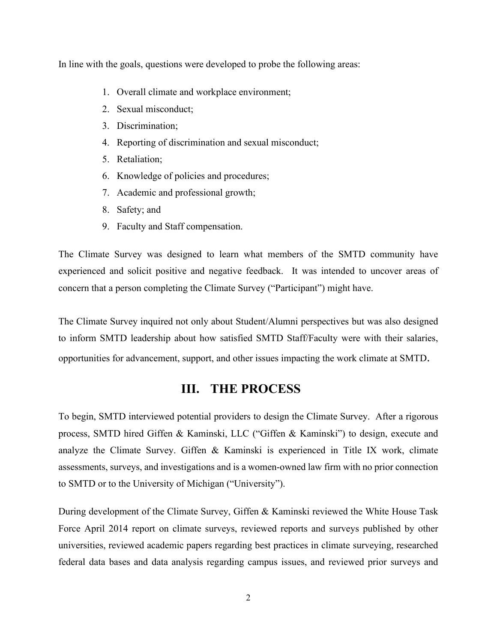In line with the goals, questions were developed to probe the following areas:

- 1. Overall climate and workplace environment;
- 2. Sexual misconduct;
- 3. Discrimination;
- 4. Reporting of discrimination and sexual misconduct;
- 5. Retaliation;
- 6. Knowledge of policies and procedures;
- 7. Academic and professional growth;
- 8. Safety; and
- 9. Faculty and Staff compensation.

The Climate Survey was designed to learn what members of the SMTD community have experienced and solicit positive and negative feedback. It was intended to uncover areas of concern that a person completing the Climate Survey ("Participant") might have.

The Climate Survey inquired not only about Student/Alumni perspectives but was also designed to inform SMTD leadership about how satisfied SMTD Staff/Faculty were with their salaries, opportunities for advancement, support, and other issues impacting the work climate at SMTD.

# **III. THE PROCESS**

To begin, SMTD interviewed potential providers to design the Climate Survey. After a rigorous process, SMTD hired Giffen & Kaminski, LLC ("Giffen & Kaminski") to design, execute and analyze the Climate Survey. Giffen & Kaminski is experienced in Title IX work, climate assessments, surveys, and investigations and is a women-owned law firm with no prior connection to SMTD or to the University of Michigan ("University").

During development of the Climate Survey, Giffen & Kaminski reviewed the White House Task Force April 2014 report on climate surveys, reviewed reports and surveys published by other universities, reviewed academic papers regarding best practices in climate surveying, researched federal data bases and data analysis regarding campus issues, and reviewed prior surveys and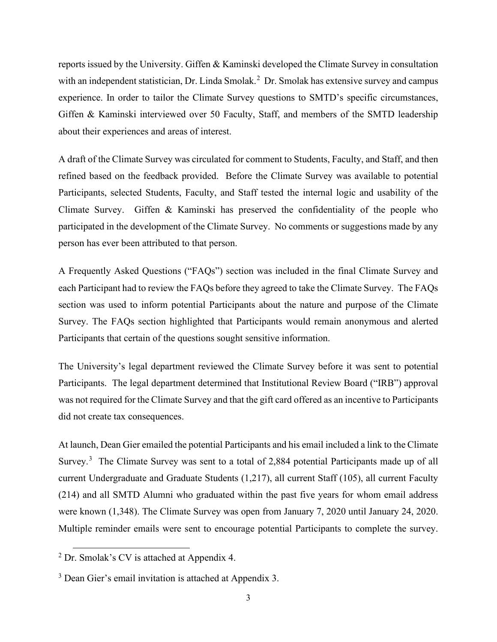reports issued by the University. Giffen & Kaminski developed the Climate Survey in consultation with an independent statistician, Dr. Linda Smolak.<sup>[2](#page-5-0)</sup> Dr. Smolak has extensive survey and campus experience. In order to tailor the Climate Survey questions to SMTD's specific circumstances, Giffen & Kaminski interviewed over 50 Faculty, Staff, and members of the SMTD leadership about their experiences and areas of interest.

A draft of the Climate Survey was circulated for comment to Students, Faculty, and Staff, and then refined based on the feedback provided. Before the Climate Survey was available to potential Participants, selected Students, Faculty, and Staff tested the internal logic and usability of the Climate Survey. Giffen & Kaminski has preserved the confidentiality of the people who participated in the development of the Climate Survey. No comments or suggestions made by any person has ever been attributed to that person.

A Frequently Asked Questions ("FAQs") section was included in the final Climate Survey and each Participant had to review the FAQs before they agreed to take the Climate Survey. The FAQs section was used to inform potential Participants about the nature and purpose of the Climate Survey. The FAQs section highlighted that Participants would remain anonymous and alerted Participants that certain of the questions sought sensitive information.

The University's legal department reviewed the Climate Survey before it was sent to potential Participants. The legal department determined that Institutional Review Board ("IRB") approval was not required for the Climate Survey and that the gift card offered as an incentive to Participants did not create tax consequences.

At launch, Dean Gier emailed the potential Participants and his email included a link to the Climate Survey.<sup>[3](#page-5-1)</sup> The Climate Survey was sent to a total of 2,884 potential Participants made up of all current Undergraduate and Graduate Students (1,217), all current Staff (105), all current Faculty (214) and all SMTD Alumni who graduated within the past five years for whom email address were known (1,348). The Climate Survey was open from January 7, 2020 until January 24, 2020. Multiple reminder emails were sent to encourage potential Participants to complete the survey.

<span id="page-5-0"></span> $2^2$  Dr. Smolak's CV is attached at Appendix 4.

<span id="page-5-1"></span><sup>&</sup>lt;sup>3</sup> Dean Gier's email invitation is attached at Appendix 3.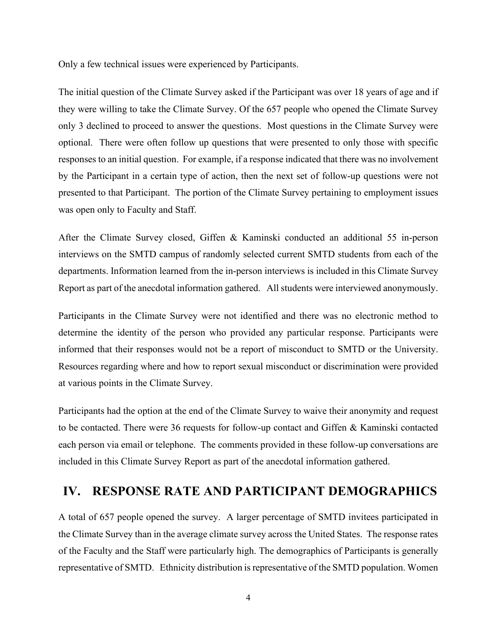Only a few technical issues were experienced by Participants.

The initial question of the Climate Survey asked if the Participant was over 18 years of age and if they were willing to take the Climate Survey. Of the 657 people who opened the Climate Survey only 3 declined to proceed to answer the questions. Most questions in the Climate Survey were optional. There were often follow up questions that were presented to only those with specific responses to an initial question. For example, if a response indicated that there was no involvement by the Participant in a certain type of action, then the next set of follow-up questions were not presented to that Participant. The portion of the Climate Survey pertaining to employment issues was open only to Faculty and Staff.

After the Climate Survey closed, Giffen & Kaminski conducted an additional 55 in-person interviews on the SMTD campus of randomly selected current SMTD students from each of the departments. Information learned from the in-person interviews is included in this Climate Survey Report as part of the anecdotal information gathered. All students were interviewed anonymously.

Participants in the Climate Survey were not identified and there was no electronic method to determine the identity of the person who provided any particular response. Participants were informed that their responses would not be a report of misconduct to SMTD or the University. Resources regarding where and how to report sexual misconduct or discrimination were provided at various points in the Climate Survey.

Participants had the option at the end of the Climate Survey to waive their anonymity and request to be contacted. There were 36 requests for follow-up contact and Giffen & Kaminski contacted each person via email or telephone. The comments provided in these follow-up conversations are included in this Climate Survey Report as part of the anecdotal information gathered.

# **IV. RESPONSE RATE AND PARTICIPANT DEMOGRAPHICS**

A total of 657 people opened the survey. A larger percentage of SMTD invitees participated in the Climate Survey than in the average climate survey across the United States. The response rates of the Faculty and the Staff were particularly high. The demographics of Participants is generally representative of SMTD. Ethnicity distribution is representative of the SMTD population. Women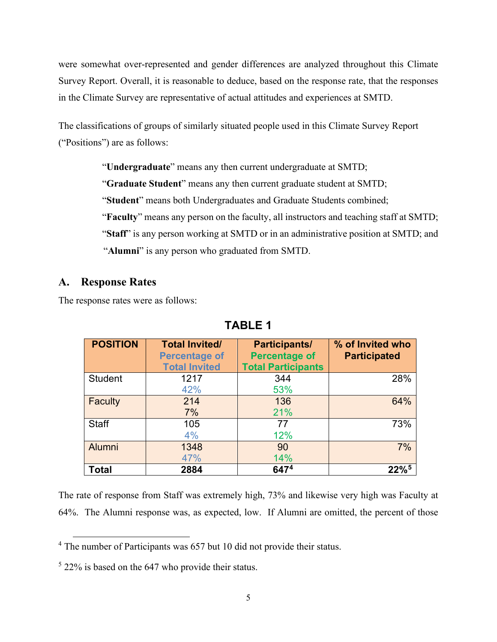were somewhat over-represented and gender differences are analyzed throughout this Climate Survey Report. Overall, it is reasonable to deduce, based on the response rate, that the responses in the Climate Survey are representative of actual attitudes and experiences at SMTD.

The classifications of groups of similarly situated people used in this Climate Survey Report ("Positions") are as follows:

> "**Undergraduate**" means any then current undergraduate at SMTD; "**Graduate Student**" means any then current graduate student at SMTD; "**Student**" means both Undergraduates and Graduate Students combined; "**Faculty**" means any person on the faculty, all instructors and teaching staff at SMTD; "**Staff**" is any person working at SMTD or in an administrative position at SMTD; and "**Alumni**" is any person who graduated from SMTD.

## **A. Response Rates**

The response rates were as follows:

| <b>POSITION</b> | <b>Total Invited/</b><br><b>Percentage of</b><br><b>Total Invited</b> | Participants/<br><b>Percentage of</b><br><b>Total Participants</b> | % of Invited who<br><b>Participated</b> |
|-----------------|-----------------------------------------------------------------------|--------------------------------------------------------------------|-----------------------------------------|
| <b>Student</b>  | 1217<br>42%                                                           | 344<br>53%                                                         | 28%                                     |
| Faculty         | 214<br>7%                                                             | 136<br>21%                                                         | 64%                                     |
| <b>Staff</b>    | 105<br>4%                                                             | 77<br>12%                                                          | 73%                                     |
| <b>Alumni</b>   | 1348<br>47%                                                           | 90<br>14%                                                          | 7%                                      |
| <b>Total</b>    | 2884                                                                  | 6474                                                               | $22\%$ <sup>5</sup>                     |

**TABLE 1**

The rate of response from Staff was extremely high, 73% and likewise very high was Faculty at 64%. The Alumni response was, as expected, low. If Alumni are omitted, the percent of those

<span id="page-7-0"></span><sup>4</sup> The number of Participants was 657 but 10 did not provide their status.

<span id="page-7-1"></span> $522\%$  is based on the 647 who provide their status.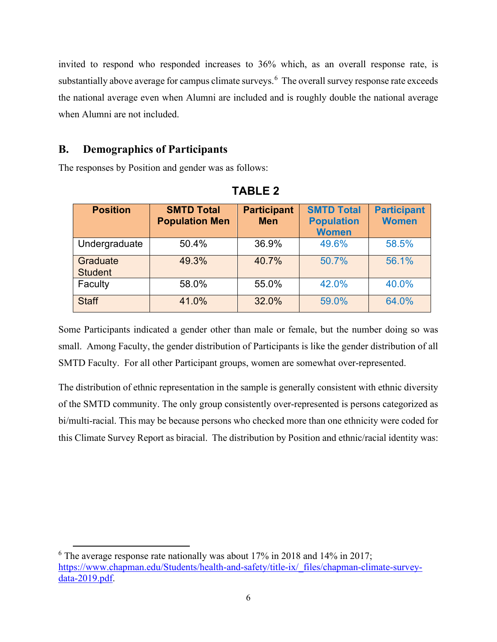invited to respond who responded increases to 36% which, as an overall response rate, is substantially above average for campus climate surveys.<sup>[6](#page-8-0)</sup> The overall survey response rate exceeds the national average even when Alumni are included and is roughly double the national average when Alumni are not included.

## **B. Demographics of Participants**

The responses by Position and gender was as follows:

| <b>Position</b>            | <b>SMTD Total</b><br><b>Population Men</b> | <b>Participant</b><br><b>Men</b> | <b>SMTD Total</b><br><b>Population</b><br><b>Women</b> | <b>Participant</b><br><b>Women</b> |
|----------------------------|--------------------------------------------|----------------------------------|--------------------------------------------------------|------------------------------------|
| Undergraduate              | 50.4%                                      | 36.9%                            | 49.6%                                                  | 58.5%                              |
| Graduate<br><b>Student</b> | 49.3%                                      | 40.7%                            | 50.7%                                                  | 56.1%                              |
| Faculty                    | 58.0%                                      | 55.0%                            | 42.0%                                                  | 40.0%                              |
| <b>Staff</b>               | 41.0%                                      | 32.0%                            | 59.0%                                                  | 64.0%                              |

**TABLE 2**

Some Participants indicated a gender other than male or female, but the number doing so was small. Among Faculty, the gender distribution of Participants is like the gender distribution of all SMTD Faculty. For all other Participant groups, women are somewhat over-represented.

The distribution of ethnic representation in the sample is generally consistent with ethnic diversity of the SMTD community. The only group consistently over-represented is persons categorized as bi/multi-racial. This may be because persons who checked more than one ethnicity were coded for this Climate Survey Report as biracial. The distribution by Position and ethnic/racial identity was:

<span id="page-8-0"></span> $6$  The average response rate nationally was about 17% in 2018 and 14% in 2017; [https://www.chapman.edu/Students/health-and-safety/title-ix/\\_files/chapman-climate-survey](https://www.chapman.edu/students/health-and-safety/title-ix/_files/chapman-climate-survey-data-2019.pdf)[data-2019.pdf.](https://www.chapman.edu/students/health-and-safety/title-ix/_files/chapman-climate-survey-data-2019.pdf)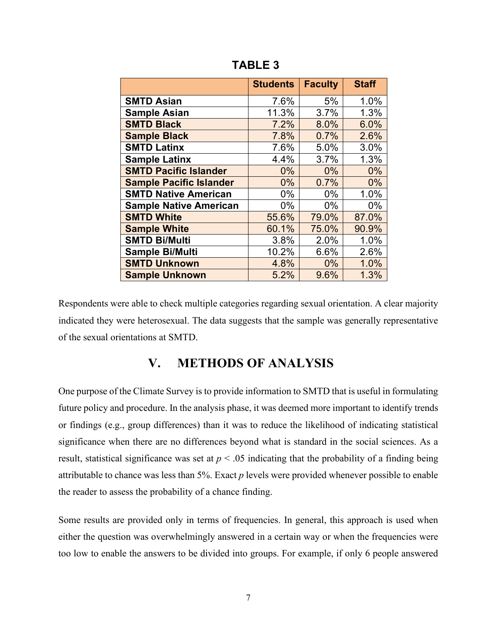|                                | <b>Students</b> | <b>Faculty</b> | <b>Staff</b> |
|--------------------------------|-----------------|----------------|--------------|
| <b>SMTD Asian</b>              | 7.6%            | 5%             | 1.0%         |
| <b>Sample Asian</b>            | 11.3%           | 3.7%           | 1.3%         |
| <b>SMTD Black</b>              | 7.2%            | 8.0%           | 6.0%         |
| <b>Sample Black</b>            | 7.8%            | 0.7%           | 2.6%         |
| <b>SMTD Latinx</b>             | 7.6%            | 5.0%           | 3.0%         |
| <b>Sample Latinx</b>           | 4.4%            | 3.7%           | 1.3%         |
| <b>SMTD Pacific Islander</b>   | $0\%$           | $0\%$          | 0%           |
| <b>Sample Pacific Islander</b> | $0\%$           | 0.7%           | $0\%$        |
| <b>SMTD Native American</b>    | $0\%$           | 0%             | 1.0%         |
| <b>Sample Native American</b>  | $0\%$           | $0\%$          | 0%           |
| <b>SMTD White</b>              | 55.6%           | 79.0%          | 87.0%        |
| <b>Sample White</b>            | 60.1%           | 75.0%          | 90.9%        |
| <b>SMTD Bi/Multi</b>           | 3.8%            | 2.0%           | 1.0%         |
| Sample Bi/Multi                | 10.2%           | 6.6%           | 2.6%         |
| <b>SMTD Unknown</b>            | 4.8%            | $0\%$          | 1.0%         |
| <b>Sample Unknown</b>          | 5.2%            | 9.6%           | 1.3%         |

**TABLE 3**

Respondents were able to check multiple categories regarding sexual orientation. A clear majority indicated they were heterosexual. The data suggests that the sample was generally representative of the sexual orientations at SMTD.

# **V. METHODS OF ANALYSIS**

One purpose of the Climate Survey is to provide information to SMTD that is useful in formulating future policy and procedure. In the analysis phase, it was deemed more important to identify trends or findings (e.g., group differences) than it was to reduce the likelihood of indicating statistical significance when there are no differences beyond what is standard in the social sciences. As a result, statistical significance was set at  $p < .05$  indicating that the probability of a finding being attributable to chance was less than 5%. Exact *p* levels were provided whenever possible to enable the reader to assess the probability of a chance finding.

Some results are provided only in terms of frequencies. In general, this approach is used when either the question was overwhelmingly answered in a certain way or when the frequencies were too low to enable the answers to be divided into groups. For example, if only 6 people answered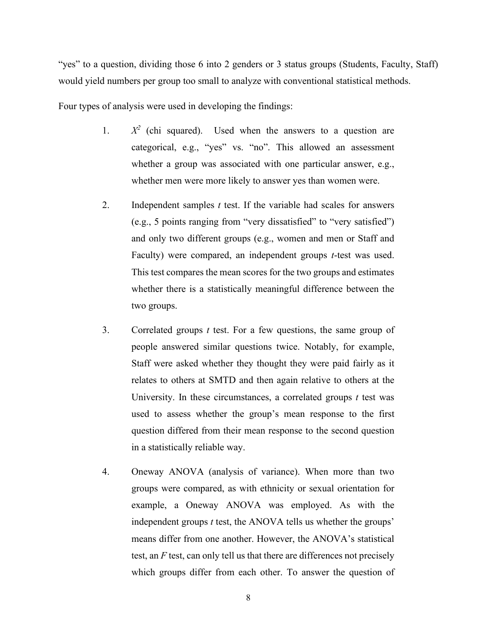"yes" to a question, dividing those 6 into 2 genders or 3 status groups (Students, Faculty, Staff) would yield numbers per group too small to analyze with conventional statistical methods.

Four types of analysis were used in developing the findings:

- 1. *X<sup>2</sup>* (chi squared). Used when the answers to a question are categorical, e.g., "yes" vs. "no". This allowed an assessment whether a group was associated with one particular answer, e.g., whether men were more likely to answer yes than women were.
- 2. Independent samples *t* test. If the variable had scales for answers (e.g., 5 points ranging from "very dissatisfied" to "very satisfied") and only two different groups (e.g., women and men or Staff and Faculty) were compared, an independent groups *t*-test was used. This test compares the mean scores for the two groups and estimates whether there is a statistically meaningful difference between the two groups.
- 3. Correlated groups *t* test. For a few questions, the same group of people answered similar questions twice. Notably, for example, Staff were asked whether they thought they were paid fairly as it relates to others at SMTD and then again relative to others at the University. In these circumstances, a correlated groups *t* test was used to assess whether the group's mean response to the first question differed from their mean response to the second question in a statistically reliable way.
- 4. Oneway ANOVA (analysis of variance). When more than two groups were compared, as with ethnicity or sexual orientation for example, a Oneway ANOVA was employed. As with the independent groups *t* test, the ANOVA tells us whether the groups' means differ from one another. However, the ANOVA's statistical test, an *F* test, can only tell us that there are differences not precisely which groups differ from each other. To answer the question of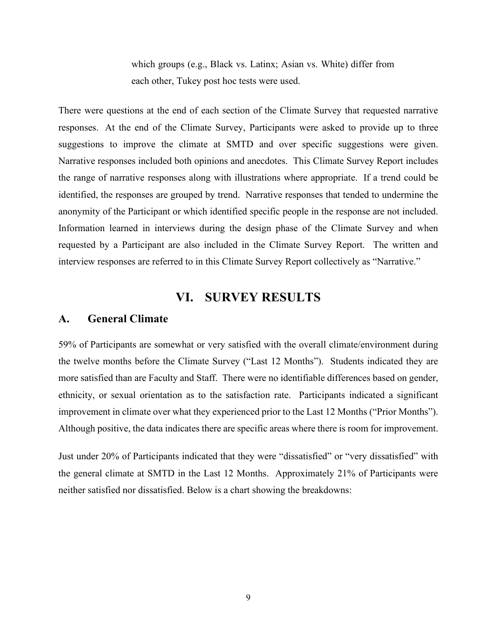which groups (e.g., Black vs. Latinx; Asian vs. White) differ from each other, Tukey post hoc tests were used.

There were questions at the end of each section of the Climate Survey that requested narrative responses. At the end of the Climate Survey, Participants were asked to provide up to three suggestions to improve the climate at SMTD and over specific suggestions were given. Narrative responses included both opinions and anecdotes. This Climate Survey Report includes the range of narrative responses along with illustrations where appropriate. If a trend could be identified, the responses are grouped by trend. Narrative responses that tended to undermine the anonymity of the Participant or which identified specific people in the response are not included. Information learned in interviews during the design phase of the Climate Survey and when requested by a Participant are also included in the Climate Survey Report. The written and interview responses are referred to in this Climate Survey Report collectively as "Narrative."

# **VI. SURVEY RESULTS**

#### **A. General Climate**

59% of Participants are somewhat or very satisfied with the overall climate/environment during the twelve months before the Climate Survey ("Last 12 Months"). Students indicated they are more satisfied than are Faculty and Staff. There were no identifiable differences based on gender, ethnicity, or sexual orientation as to the satisfaction rate. Participants indicated a significant improvement in climate over what they experienced prior to the Last 12 Months ("Prior Months"). Although positive, the data indicates there are specific areas where there is room for improvement.

Just under 20% of Participants indicated that they were "dissatisfied" or "very dissatisfied" with the general climate at SMTD in the Last 12 Months. Approximately 21% of Participants were neither satisfied nor dissatisfied. Below is a chart showing the breakdowns: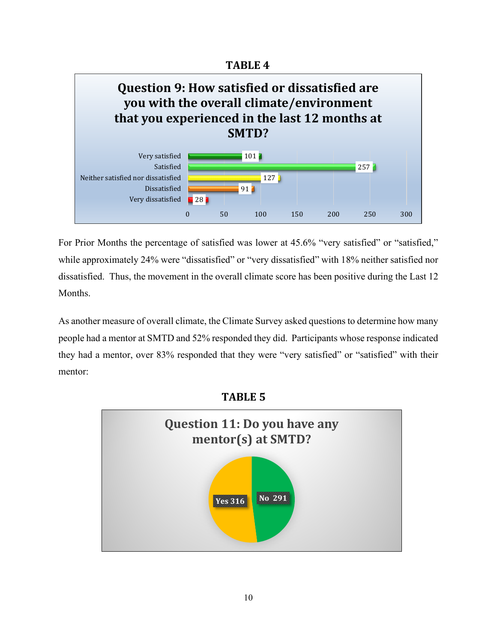**TABLE 4**



For Prior Months the percentage of satisfied was lower at 45.6% "very satisfied" or "satisfied," while approximately 24% were "dissatisfied" or "very dissatisfied" with 18% neither satisfied nor dissatisfied. Thus, the movement in the overall climate score has been positive during the Last 12 Months.

As another measure of overall climate, the Climate Survey asked questions to determine how many people had a mentor at SMTD and 52% responded they did. Participants whose response indicated they had a mentor, over 83% responded that they were "very satisfied" or "satisfied" with their mentor:

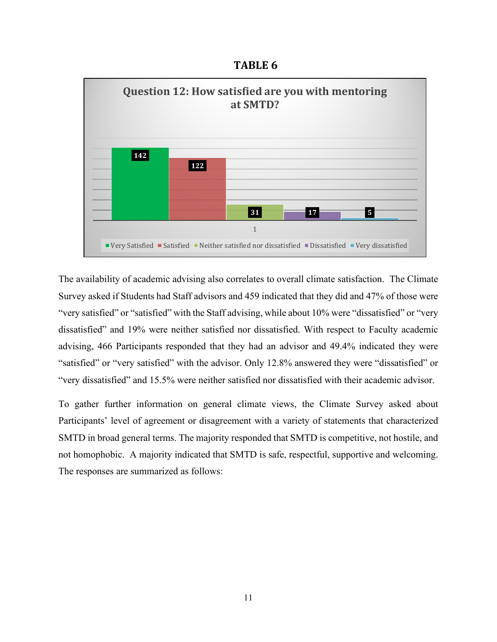**TABLE 6**



The availability of academic advising also correlates to overall climate satisfaction. The Climate Survey asked if Students had Staff advisors and 459 indicated that they did and 47% of those were "very satisfied" or "satisfied" with the Staff advising, while about 10% were "dissatisfied" or "very dissatisfied" and 19% were neither satisfied nor dissatisfied. With respect to Faculty academic advising, 466 Participants responded that they had an advisor and 49.4% indicated they were "satisfied" or "very satisfied" with the advisor. Only 12.8% answered they were "dissatisfied" or "very dissatisfied" and 15.5% were neither satisfied nor dissatisfied with their academic advisor.

To gather further information on general climate views, the Climate Survey asked about Participants' level of agreement or disagreement with a variety of statements that characterized SMTD in broad general terms. The majority responded that SMTD is competitive, not hostile, and not homophobic. A majority indicated that SMTD is safe, respectful, supportive and welcoming. The responses are summarized as follows: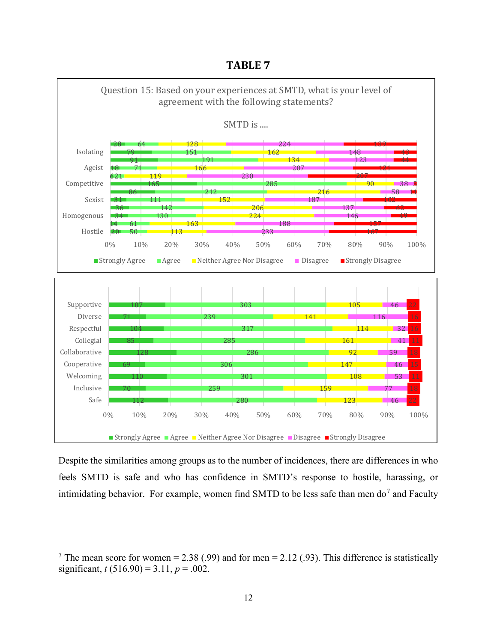**TABLE 7**



Despite the similarities among groups as to the number of incidences, there are differences in who feels SMTD is safe and who has confidence in SMTD's response to hostile, harassing, or intimidating behavior. For example, women find SMTD to be less safe than men do<sup>[7](#page-14-0)</sup> and Faculty

<span id="page-14-0"></span><sup>&</sup>lt;sup>7</sup> The mean score for women = 2.38 (.99) and for men = 2.12 (.93). This difference is statistically significant,  $t(516.90) = 3.11, p = .002$ .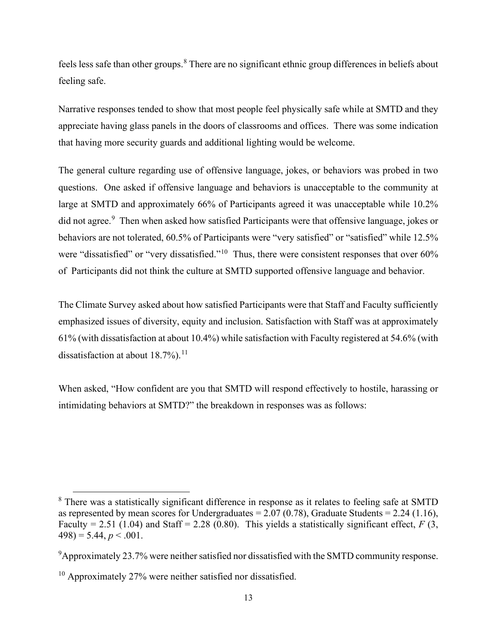feels less safe than other groups.<sup>[8](#page-15-0)</sup> There are no significant ethnic group differences in beliefs about feeling safe.

Narrative responses tended to show that most people feel physically safe while at SMTD and they appreciate having glass panels in the doors of classrooms and offices. There was some indication that having more security guards and additional lighting would be welcome.

The general culture regarding use of offensive language, jokes, or behaviors was probed in two questions. One asked if offensive language and behaviors is unacceptable to the community at large at SMTD and approximately 66% of Participants agreed it was unacceptable while 10.2% did not agree. [9](#page-15-1) Then when asked how satisfied Participants were that offensive language, jokes or behaviors are not tolerated, 60.5% of Participants were "very satisfied" or "satisfied" while 12.5% were "dissatisfied" or "very dissatisfied."<sup>10</sup> Thus, there were consistent responses that over 60% of Participants did not think the culture at SMTD supported offensive language and behavior.

The Climate Survey asked about how satisfied Participants were that Staff and Faculty sufficiently emphasized issues of diversity, equity and inclusion. Satisfaction with Staff was at approximately 61% (with dissatisfaction at about 10.4%) while satisfaction with Faculty registered at 54.6% (with dissatisfaction at about  $18.7\%$ ).<sup>[11](#page-15-3)</sup>

When asked, "How confident are you that SMTD will respond effectively to hostile, harassing or intimidating behaviors at SMTD?" the breakdown in responses was as follows:

<span id="page-15-0"></span><sup>&</sup>lt;sup>8</sup> There was a statistically significant difference in response as it relates to feeling safe at SMTD as represented by mean scores for Undergraduates  $= 2.07 (0.78)$ , Graduate Students  $= 2.24 (1.16)$ , Faculty = 2.51 (1.04) and Staff = 2.28 (0.80). This yields a statistically significant effect,  $F(3, 1)$  $498$ ) = 5.44,  $p < .001$ .

<span id="page-15-1"></span> $9$ Approximately 23.7% were neither satisfied nor dissatisfied with the SMTD community response.

<span id="page-15-3"></span><span id="page-15-2"></span><sup>&</sup>lt;sup>10</sup> Approximately 27% were neither satisfied nor dissatisfied.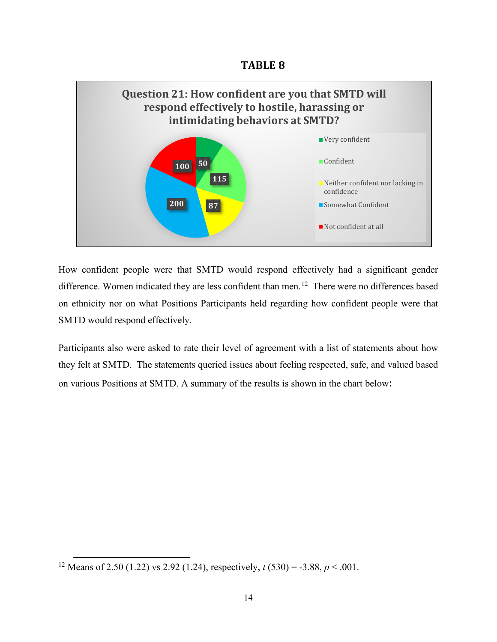**TABLE 8**



How confident people were that SMTD would respond effectively had a significant gender difference. Women indicated they are less confident than men.<sup>12</sup> There were no differences based on ethnicity nor on what Positions Participants held regarding how confident people were that SMTD would respond effectively.

Participants also were asked to rate their level of agreement with a list of statements about how they felt at SMTD. The statements queried issues about feeling respected, safe, and valued based on various Positions at SMTD. A summary of the results is shown in the chart below:

<span id="page-16-0"></span><sup>&</sup>lt;sup>12</sup> Means of 2.50 (1.22) vs 2.92 (1.24), respectively,  $t(530) = -3.88$ ,  $p < .001$ .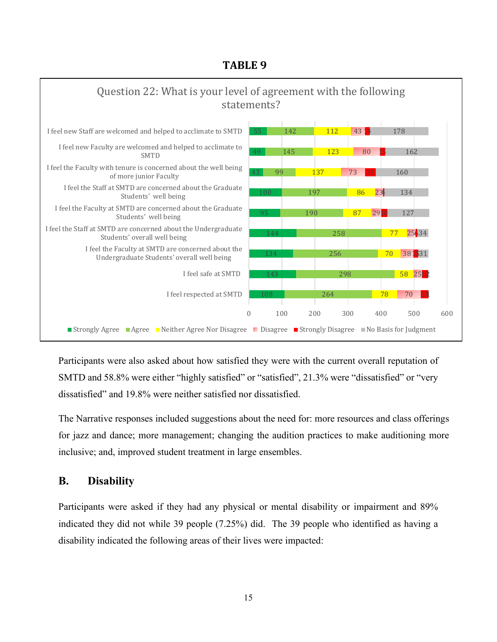# **TABLE 9**



Participants were also asked about how satisfied they were with the current overall reputation of SMTD and 58.8% were either "highly satisfied" or "satisfied", 21.3% were "dissatisfied" or "very dissatisfied" and 19.8% were neither satisfied nor dissatisfied.

The Narrative responses included suggestions about the need for: more resources and class offerings for jazz and dance; more management; changing the audition practices to make auditioning more inclusive; and, improved student treatment in large ensembles.

# **B. Disability**

Participants were asked if they had any physical or mental disability or impairment and 89% indicated they did not while 39 people (7.25%) did. The 39 people who identified as having a disability indicated the following areas of their lives were impacted: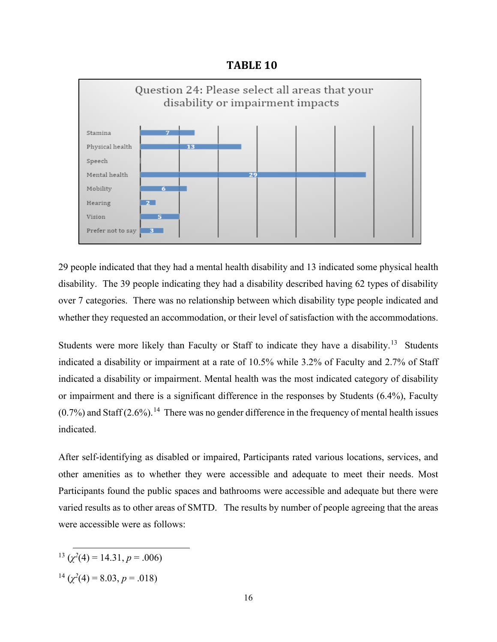**TABLE 10**



29 people indicated that they had a mental health disability and 13 indicated some physical health disability. The 39 people indicating they had a disability described having 62 types of disability over 7 categories. There was no relationship between which disability type people indicated and whether they requested an accommodation, or their level of satisfaction with the accommodations.

Students were more likely than Faculty or Staff to indicate they have a disability.<sup>[13](#page-18-0)</sup> Students indicated a disability or impairment at a rate of 10.5% while 3.2% of Faculty and 2.7% of Staff indicated a disability or impairment. Mental health was the most indicated category of disability or impairment and there is a significant difference in the responses by Students (6.4%), Faculty  $(0.7\%)$  and Staff  $(2.6\%)$ .<sup>[14](#page-18-1)</sup> There was no gender difference in the frequency of mental health issues indicated.

After self-identifying as disabled or impaired, Participants rated various locations, services, and other amenities as to whether they were accessible and adequate to meet their needs. Most Participants found the public spaces and bathrooms were accessible and adequate but there were varied results as to other areas of SMTD. The results by number of people agreeing that the areas were accessible were as follows:

- <span id="page-18-0"></span> $13 \left( \frac{\chi^2}{4} \right) = 14.31, p = .006$
- <span id="page-18-1"></span> $1^{\frac{14}{2}}$  ( $\chi^2(4) = 8.03, p = .018$ )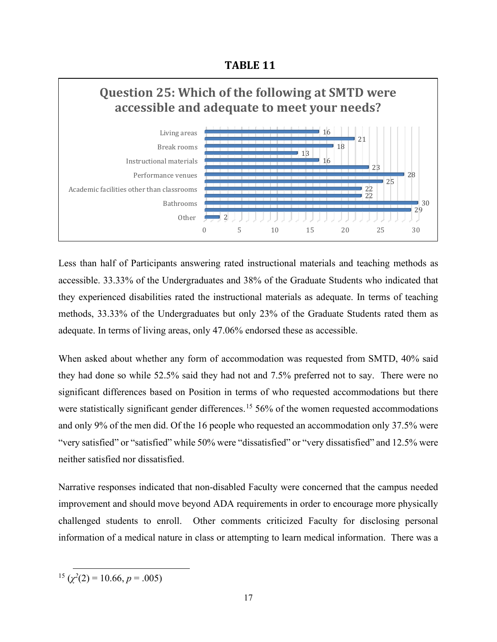**TABLE 11**



Less than half of Participants answering rated instructional materials and teaching methods as accessible. 33.33% of the Undergraduates and 38% of the Graduate Students who indicated that they experienced disabilities rated the instructional materials as adequate. In terms of teaching methods, 33.33% of the Undergraduates but only 23% of the Graduate Students rated them as adequate. In terms of living areas, only 47.06% endorsed these as accessible.

When asked about whether any form of accommodation was requested from SMTD, 40% said they had done so while 52.5% said they had not and 7.5% preferred not to say. There were no significant differences based on Position in terms of who requested accommodations but there were statistically significant gender differences.<sup>[15](#page-19-0)</sup> 56% of the women requested accommodations and only 9% of the men did. Of the 16 people who requested an accommodation only 37.5% were "very satisfied" or "satisfied" while 50% were "dissatisfied" or "very dissatisfied" and 12.5% were neither satisfied nor dissatisfied.

Narrative responses indicated that non-disabled Faculty were concerned that the campus needed improvement and should move beyond ADA requirements in order to encourage more physically challenged students to enroll. Other comments criticized Faculty for disclosing personal information of a medical nature in class or attempting to learn medical information. There was a

<span id="page-19-0"></span> $15 \left( \frac{\chi^2}{2} \right) = 10.66, p = .005$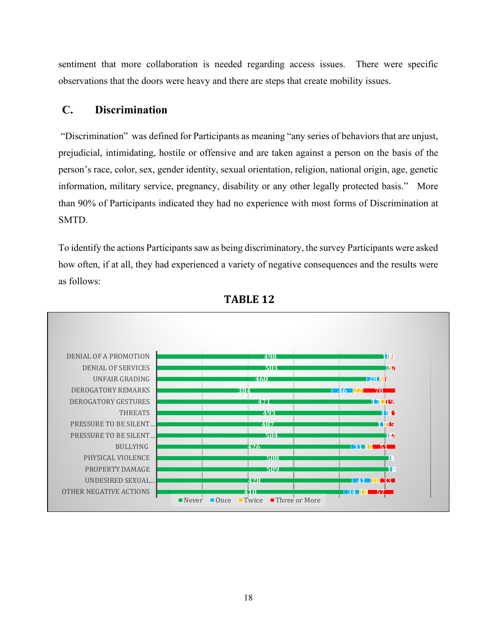sentiment that more collaboration is needed regarding access issues. There were specific observations that the doors were heavy and there are steps that create mobility issues.

## **C. Discrimination**

"Discrimination" was defined for Participants as meaning "any series of behaviors that are unjust, prejudicial, intimidating, hostile or offensive and are taken against a person on the basis of the person's race, color, sex, gender identity, sexual orientation, religion, national origin, age, genetic information, military service, pregnancy, disability or any other legally protected basis." More than 90% of Participants indicated they had no experience with most forms of Discrimination at SMTD.

To identify the actions Participants saw as being discriminatory, the survey Participants were asked how often, if at all, they had experienced a variety of negative consequences and the results were as follows:



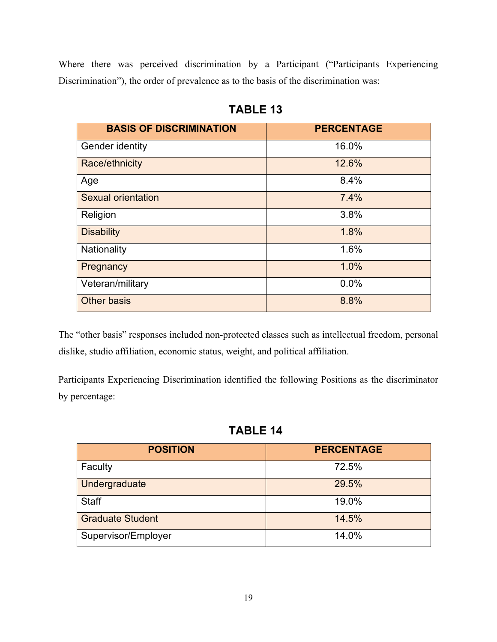Where there was perceived discrimination by a Participant ("Participants Experiencing Discrimination"), the order of prevalence as to the basis of the discrimination was:

| <b>BASIS OF DISCRIMINATION</b> | <b>PERCENTAGE</b> |
|--------------------------------|-------------------|
| Gender identity                | 16.0%             |
| Race/ethnicity                 | 12.6%             |
| Age                            | 8.4%              |
| <b>Sexual orientation</b>      | 7.4%              |
| Religion                       | 3.8%              |
| <b>Disability</b>              | 1.8%              |
| Nationality                    | 1.6%              |
| Pregnancy                      | 1.0%              |
| Veteran/military               | 0.0%              |
| <b>Other basis</b>             | 8.8%              |

**TABLE 13**

The "other basis" responses included non-protected classes such as intellectual freedom, personal dislike, studio affiliation, economic status, weight, and political affiliation.

Participants Experiencing Discrimination identified the following Positions as the discriminator by percentage:

**TABLE 14**

| <b>POSITION</b>         | <b>PERCENTAGE</b> |
|-------------------------|-------------------|
| Faculty                 | 72.5%             |
| Undergraduate           | 29.5%             |
| <b>Staff</b>            | 19.0%             |
| <b>Graduate Student</b> | 14.5%             |
| Supervisor/Employer     | 14.0%             |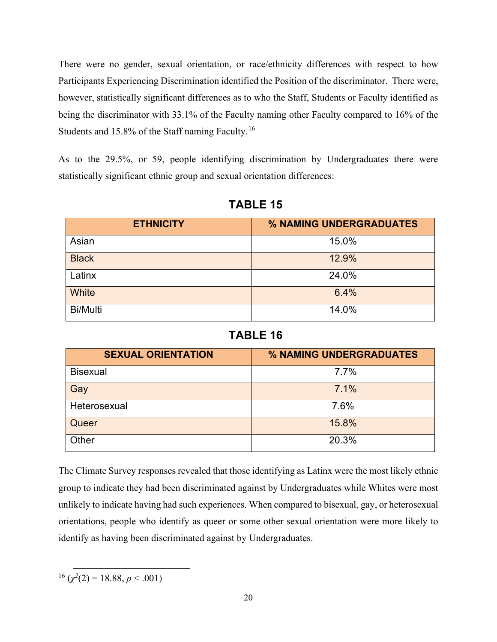There were no gender, sexual orientation, or race/ethnicity differences with respect to how Participants Experiencing Discrimination identified the Position of the discriminator. There were, however, statistically significant differences as to who the Staff, Students or Faculty identified as being the discriminator with 33.1% of the Faculty naming other Faculty compared to 16% of the Students and 15.8% of the Staff naming Faculty.<sup>[16](#page-22-0)</sup>

As to the 29.5%, or 59, people identifying discrimination by Undergraduates there were statistically significant ethnic group and sexual orientation differences:

| <b>ETHNICITY</b> | % NAMING UNDERGRADUATES |
|------------------|-------------------------|
| Asian            | 15.0%                   |
| <b>Black</b>     | 12.9%                   |
| Latinx           | 24.0%                   |
| White            | 6.4%                    |
| <b>Bi/Multi</b>  | 14.0%                   |

**TABLE 15**

# **TABLE 16**

| <b>SEXUAL ORIENTATION</b> | % NAMING UNDERGRADUATES |
|---------------------------|-------------------------|
| <b>Bisexual</b>           | 7.7%                    |
| Gay                       | 7.1%                    |
| Heterosexual              | 7.6%                    |
| Queer                     | 15.8%                   |
| Other                     | 20.3%                   |

The Climate Survey responses revealed that those identifying as Latinx were the most likely ethnic group to indicate they had been discriminated against by Undergraduates while Whites were most unlikely to indicate having had such experiences. When compared to bisexual, gay, or heterosexual orientations, people who identify as queer or some other sexual orientation were more likely to identify as having been discriminated against by Undergraduates.

<span id="page-22-0"></span> $^{16}$  ( $\chi^2(2)$  = 18.88, *p* < .001)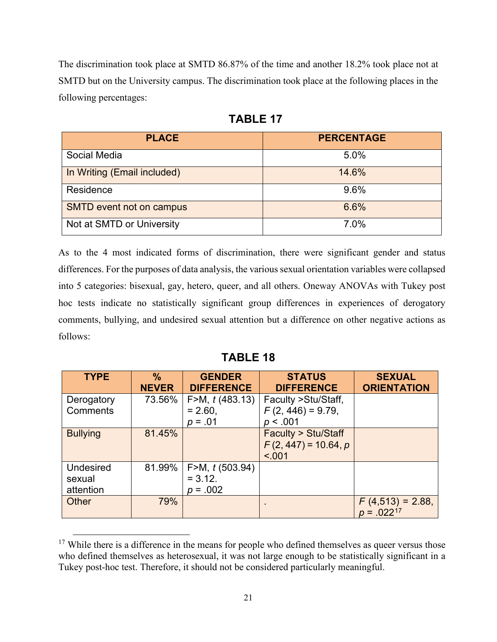The discrimination took place at SMTD 86.87% of the time and another 18.2% took place not at SMTD but on the University campus. The discrimination took place at the following places in the following percentages:

| <b>PLACE</b>                    | <b>PERCENTAGE</b> |
|---------------------------------|-------------------|
| Social Media                    | 5.0%              |
| In Writing (Email included)     | 14.6%             |
| Residence                       | 9.6%              |
| <b>SMTD event not on campus</b> | 6.6%              |
| Not at SMTD or University       | 7.0%              |

| Bl<br>н<br>١١ |
|---------------|
|---------------|

As to the 4 most indicated forms of discrimination, there were significant gender and status differences. For the purposes of data analysis, the various sexual orientation variables were collapsed into 5 categories: bisexual, gay, hetero, queer, and all others. Oneway ANOVAs with Tukey post hoc tests indicate no statistically significant group differences in experiences of derogatory comments, bullying, and undesired sexual attention but a difference on other negative actions as follows:

| <b>TYPE</b>            | $\frac{0}{0}$<br><b>NEVER</b> | <b>GENDER</b><br><b>DIFFERENCE</b> | <b>STATUS</b><br><b>DIFFERENCE</b>                               | <b>SEXUAL</b><br><b>ORIENTATION</b>  |
|------------------------|-------------------------------|------------------------------------|------------------------------------------------------------------|--------------------------------------|
| Derogatory<br>Comments | 73.56%                        | F > M, $t(483.13)$<br>$= 2.60,$    | Faculty > Stu/Staff,<br>$F(2, 446) = 9.79$ ,                     |                                      |
|                        |                               | $p = .01$                          | p < .001                                                         |                                      |
| <b>Bullying</b>        | 81.45%                        |                                    | <b>Faculty &gt; Stu/Staff</b><br>$F(2, 447) = 10.64, p$<br>< 001 |                                      |
| <b>Undesired</b>       | 81.99%                        | F>M, t (503.94)                    |                                                                  |                                      |
| sexual                 |                               | $= 3.12.$                          |                                                                  |                                      |
| attention              |                               | $p = .002$                         |                                                                  |                                      |
| Other                  | 79%                           |                                    | $\blacksquare$                                                   | $F(4,513) = 2.88$<br>$p = .022^{17}$ |

<span id="page-23-0"></span> $17$  While there is a difference in the means for people who defined themselves as queer versus those who defined themselves as heterosexual, it was not large enough to be statistically significant in a Tukey post-hoc test. Therefore, it should not be considered particularly meaningful.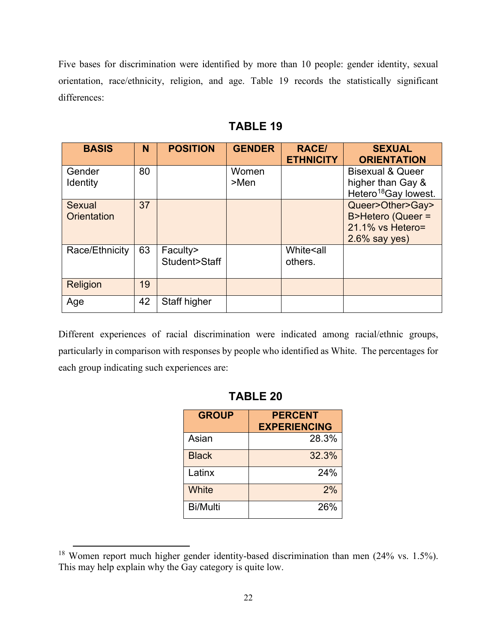Five bases for discrimination were identified by more than 10 people: gender identity, sexual orientation, race/ethnicity, religion, and age. Table 19 records the statistically significant differences:

| <b>BASIS</b>                        | N  | <b>POSITION</b>           | <b>GENDER</b>    | <b>RACE/</b><br><b>ETHNICITY</b> | <b>SEXUAL</b><br><b>ORIENTATION</b>                                                  |
|-------------------------------------|----|---------------------------|------------------|----------------------------------|--------------------------------------------------------------------------------------|
| Gender<br><b>Identity</b>           | 80 |                           | Women<br>$>$ Men |                                  | <b>Bisexual &amp; Queer</b><br>higher than Gay &<br>Hetero <sup>18</sup> Gay lowest. |
| <b>Sexual</b><br><b>Orientation</b> | 37 |                           |                  |                                  | Queer>Other>Gay><br>B>Hetero (Queer =<br>$21.1\%$ vs Hetero=<br>$2.6\%$ say yes)     |
| Race/Ethnicity                      | 63 | Faculty><br>Student>Staff |                  | White <all<br>others.</all<br>   |                                                                                      |
| <b>Religion</b>                     | 19 |                           |                  |                                  |                                                                                      |
| Age                                 | 42 | Staff higher              |                  |                                  |                                                                                      |

Different experiences of racial discrimination were indicated among racial/ethnic groups, particularly in comparison with responses by people who identified as White. The percentages for each group indicating such experiences are:

| <b>GROUP</b>    | <b>PERCENT</b><br><b>EXPERIENCING</b> |
|-----------------|---------------------------------------|
| Asian           | 28.3%                                 |
| <b>Black</b>    | 32.3%                                 |
| Latinx          | 24%                                   |
| White           | 2%                                    |
| <b>Bi/Multi</b> | 26%                                   |

<span id="page-24-0"></span><sup>18</sup> Women report much higher gender identity-based discrimination than men (24% vs. 1.5%). This may help explain why the Gay category is quite low.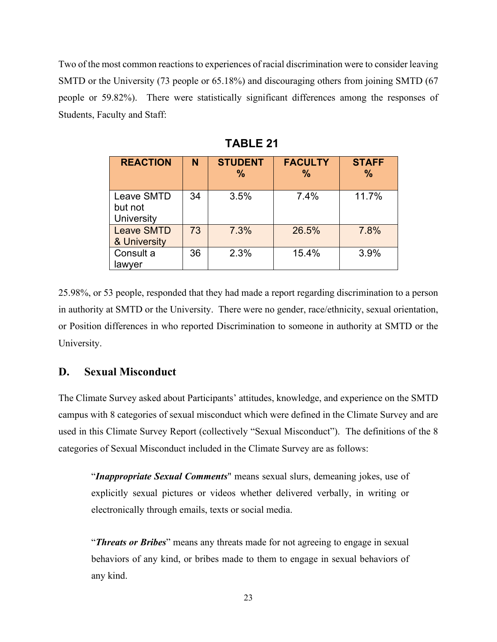Two of the most common reactions to experiences of racial discrimination were to consider leaving SMTD or the University (73 people or 65.18%) and discouraging others from joining SMTD (67 people or 59.82%). There were statistically significant differences among the responses of Students, Faculty and Staff:

| <b>REACTION</b>                            | N  | <b>STUDENT</b><br>$\frac{9}{6}$ | <b>FACULTY</b><br>$\%$ | <b>STAFF</b><br>$\frac{9}{6}$ |
|--------------------------------------------|----|---------------------------------|------------------------|-------------------------------|
| <b>Leave SMTD</b><br>but not<br>University | 34 | 3.5%                            | 7.4%                   | 11.7%                         |
| <b>Leave SMTD</b><br>& University          | 73 | 7.3%                            | 26.5%                  | 7.8%                          |
| Consult a<br>lawver                        | 36 | 2.3%                            | 15.4%                  | 3.9%                          |

**TABLE 21**

25.98%, or 53 people, responded that they had made a report regarding discrimination to a person in authority at SMTD or the University. There were no gender, race/ethnicity, sexual orientation, or Position differences in who reported Discrimination to someone in authority at SMTD or the University.

# **D. Sexual Misconduct**

The Climate Survey asked about Participants' attitudes, knowledge, and experience on the SMTD campus with 8 categories of sexual misconduct which were defined in the Climate Survey and are used in this Climate Survey Report (collectively "Sexual Misconduct"). The definitions of the 8 categories of Sexual Misconduct included in the Climate Survey are as follows:

"*Inappropriate Sexual Comments*" means sexual slurs, demeaning jokes, use of explicitly sexual pictures or videos whether delivered verbally, in writing or electronically through emails, texts or social media.

"*Threats or Bribes*" means any threats made for not agreeing to engage in sexual behaviors of any kind, or bribes made to them to engage in sexual behaviors of any kind.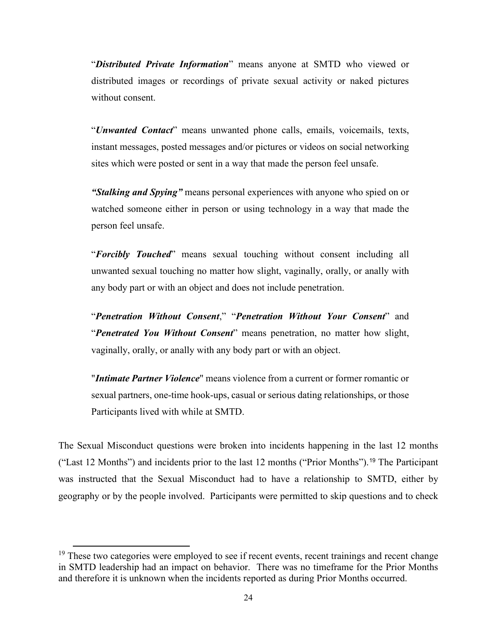"*Distributed Private Information*" means anyone at SMTD who viewed or distributed images or recordings of private sexual activity or naked pictures without consent.

"*Unwanted Contact*" means unwanted phone calls, emails, voicemails, texts, instant messages, posted messages and/or pictures or videos on social networking sites which were posted or sent in a way that made the person feel unsafe.

*"Stalking and Spying"* means personal experiences with anyone who spied on or watched someone either in person or using technology in a way that made the person feel unsafe.

"*Forcibly Touched*" means sexual touching without consent including all unwanted sexual touching no matter how slight, vaginally, orally, or anally with any body part or with an object and does not include penetration.

"*Penetration Without Consent*," "*Penetration Without Your Consent*" and "*Penetrated You Without Consent*" means penetration, no matter how slight, vaginally, orally, or anally with any body part or with an object.

"*Intimate Partner Violence*" means violence from a current or former romantic or sexual partners, one-time hook-ups, casual or serious dating relationships, or those Participants lived with while at SMTD.

The Sexual Misconduct questions were broken into incidents happening in the last 12 months ("Last 12 Months") and incidents prior to the last 12 months ("Prior Months").[19](#page-26-0) The Participant was instructed that the Sexual Misconduct had to have a relationship to SMTD, either by geography or by the people involved. Participants were permitted to skip questions and to check

<span id="page-26-0"></span><sup>&</sup>lt;sup>19</sup> These two categories were employed to see if recent events, recent trainings and recent change in SMTD leadership had an impact on behavior. There was no timeframe for the Prior Months and therefore it is unknown when the incidents reported as during Prior Months occurred.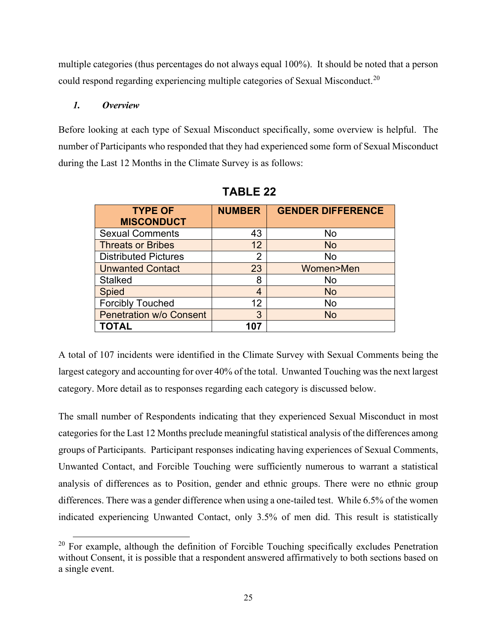multiple categories (thus percentages do not always equal 100%). It should be noted that a person could respond regarding experiencing multiple categories of Sexual Misconduct.<sup>[20](#page-27-0)</sup>

#### *1. Overview*

Before looking at each type of Sexual Misconduct specifically, some overview is helpful. The number of Participants who responded that they had experienced some form of Sexual Misconduct during the Last 12 Months in the Climate Survey is as follows:

| <b>TYPE OF</b><br><b>MISCONDUCT</b> | <b>NUMBER</b>  | <b>GENDER DIFFERENCE</b> |
|-------------------------------------|----------------|--------------------------|
| <b>Sexual Comments</b>              | 43             | No                       |
| <b>Threats or Bribes</b>            | 12             | <b>No</b>                |
| <b>Distributed Pictures</b>         | $\overline{2}$ | No                       |
| <b>Unwanted Contact</b>             | 23             | Women>Men                |
| <b>Stalked</b>                      | 8              | No                       |
| <b>Spied</b>                        | 4              | <b>No</b>                |
| <b>Forcibly Touched</b>             | 12             | No                       |
| <b>Penetration w/o Consent</b>      | 3              | <b>No</b>                |
| <b>TOTAL</b>                        | 107            |                          |

 **TABLE 22**

A total of 107 incidents were identified in the Climate Survey with Sexual Comments being the largest category and accounting for over 40% of the total. Unwanted Touching was the next largest category. More detail as to responses regarding each category is discussed below.

The small number of Respondents indicating that they experienced Sexual Misconduct in most categories for the Last 12 Months preclude meaningful statistical analysis of the differences among groups of Participants. Participant responses indicating having experiences of Sexual Comments, Unwanted Contact, and Forcible Touching were sufficiently numerous to warrant a statistical analysis of differences as to Position, gender and ethnic groups. There were no ethnic group differences. There was a gender difference when using a one-tailed test. While 6.5% of the women indicated experiencing Unwanted Contact, only 3.5% of men did. This result is statistically

<span id="page-27-0"></span> $20$  For example, although the definition of Forcible Touching specifically excludes Penetration without Consent, it is possible that a respondent answered affirmatively to both sections based on a single event.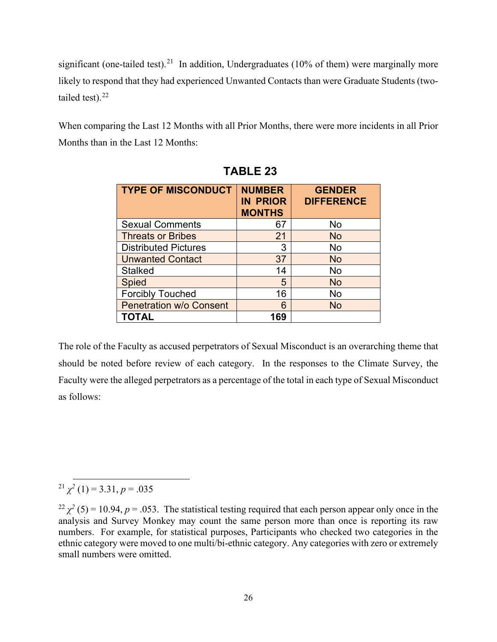significant (one-tailed test).<sup>[21](#page-28-0)</sup> In addition, Undergraduates (10% of them) were marginally more likely to respond that they had experienced Unwanted Contacts than were Graduate Students (two-tailed test).<sup>[22](#page-28-1)</sup>

When comparing the Last 12 Months with all Prior Months, there were more incidents in all Prior Months than in the Last 12 Months:

| <b>TYPE OF MISCONDUCT</b>      | <b>NUMBER</b><br><b>IN PRIOR</b><br><b>MONTHS</b> | <b>GENDER</b><br><b>DIFFERENCE</b> |
|--------------------------------|---------------------------------------------------|------------------------------------|
| <b>Sexual Comments</b>         | 67                                                | No                                 |
| <b>Threats or Bribes</b>       | 21                                                | <b>No</b>                          |
| <b>Distributed Pictures</b>    | 3                                                 | <b>No</b>                          |
| <b>Unwanted Contact</b>        | 37                                                | <b>No</b>                          |
| <b>Stalked</b>                 | 14                                                | No                                 |
| <b>Spied</b>                   | 5                                                 | <b>No</b>                          |
| <b>Forcibly Touched</b>        | 16                                                | No                                 |
| <b>Penetration w/o Consent</b> | 6                                                 | <b>No</b>                          |
| <b>TOTAL</b>                   | 169                                               |                                    |

|  | <b>TABLE 23</b> |
|--|-----------------|
|--|-----------------|

The role of the Faculty as accused perpetrators of Sexual Misconduct is an overarching theme that should be noted before review of each category. In the responses to the Climate Survey, the Faculty were the alleged perpetrators as a percentage of the total in each type of Sexual Misconduct as follows:

<span id="page-28-0"></span><sup>21</sup>  $\chi^2$  (1) = 3.31, *p* = .035

<span id="page-28-1"></span> $^{22}$   $\chi^2$  (5) = 10.94, *p* = .053. The statistical testing required that each person appear only once in the analysis and Survey Monkey may count the same person more than once is reporting its raw numbers. For example, for statistical purposes, Participants who checked two categories in the ethnic category were moved to one multi/bi-ethnic category. Any categories with zero or extremely small numbers were omitted.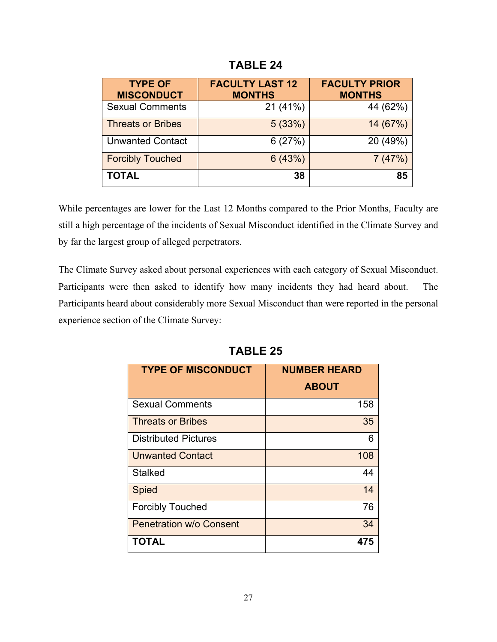| <b>TYPE OF</b><br><b>MISCONDUCT</b> | <b>FACULTY LAST 12</b><br><b>MONTHS</b> | <b>FACULTY PRIOR</b><br><b>MONTHS</b> |
|-------------------------------------|-----------------------------------------|---------------------------------------|
| <b>Sexual Comments</b>              | 21(41%)                                 | 44 (62%)                              |
| <b>Threats or Bribes</b>            | 5(33%)                                  | 14 (67%)                              |
| <b>Unwanted Contact</b>             | 6(27%)                                  | 20 (49%)                              |
| <b>Forcibly Touched</b>             | 6(43%)                                  | 7(47%)                                |
| <b>TOTAL</b>                        | 38                                      | 85                                    |

**TABLE 24**

While percentages are lower for the Last 12 Months compared to the Prior Months, Faculty are still a high percentage of the incidents of Sexual Misconduct identified in the Climate Survey and by far the largest group of alleged perpetrators.

The Climate Survey asked about personal experiences with each category of Sexual Misconduct. Participants were then asked to identify how many incidents they had heard about. The Participants heard about considerably more Sexual Misconduct than were reported in the personal experience section of the Climate Survey:

| <b>TYPE OF MISCONDUCT</b>      | <b>NUMBER HEARD</b> |  |  |
|--------------------------------|---------------------|--|--|
|                                | <b>ABOUT</b>        |  |  |
| <b>Sexual Comments</b>         | 158                 |  |  |
| <b>Threats or Bribes</b>       | 35                  |  |  |
| <b>Distributed Pictures</b>    | 6                   |  |  |
| <b>Unwanted Contact</b>        | 108                 |  |  |
| <b>Stalked</b>                 | 44                  |  |  |
| <b>Spied</b>                   | 14                  |  |  |
| <b>Forcibly Touched</b>        | 76                  |  |  |
| <b>Penetration w/o Consent</b> | 34                  |  |  |
| <b>TOTAL</b>                   | 475                 |  |  |

**TABLE 25**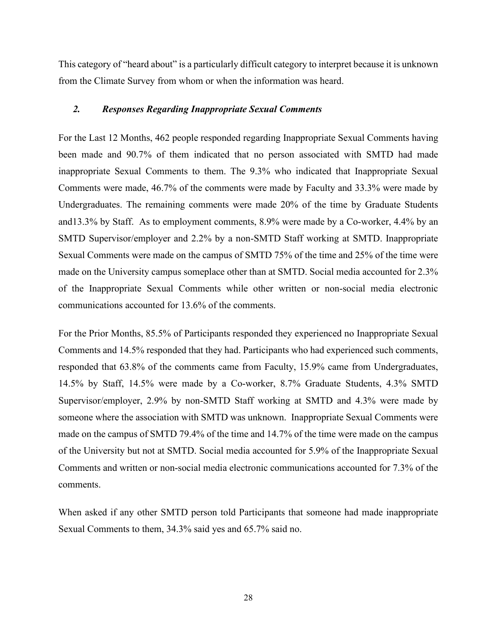This category of "heard about" is a particularly difficult category to interpret because it is unknown from the Climate Survey from whom or when the information was heard.

#### *2. Responses Regarding Inappropriate Sexual Comments*

For the Last 12 Months, 462 people responded regarding Inappropriate Sexual Comments having been made and 90.7% of them indicated that no person associated with SMTD had made inappropriate Sexual Comments to them. The 9.3% who indicated that Inappropriate Sexual Comments were made, 46.7% of the comments were made by Faculty and 33.3% were made by Undergraduates. The remaining comments were made 20% of the time by Graduate Students and13.3% by Staff. As to employment comments, 8.9% were made by a Co-worker, 4.4% by an SMTD Supervisor/employer and 2.2% by a non-SMTD Staff working at SMTD. Inappropriate Sexual Comments were made on the campus of SMTD 75% of the time and 25% of the time were made on the University campus someplace other than at SMTD. Social media accounted for 2.3% of the Inappropriate Sexual Comments while other written or non-social media electronic communications accounted for 13.6% of the comments.

For the Prior Months, 85.5% of Participants responded they experienced no Inappropriate Sexual Comments and 14.5% responded that they had. Participants who had experienced such comments, responded that 63.8% of the comments came from Faculty, 15.9% came from Undergraduates, 14.5% by Staff, 14.5% were made by a Co-worker, 8.7% Graduate Students, 4.3% SMTD Supervisor/employer, 2.9% by non-SMTD Staff working at SMTD and 4.3% were made by someone where the association with SMTD was unknown. Inappropriate Sexual Comments were made on the campus of SMTD 79.4% of the time and 14.7% of the time were made on the campus of the University but not at SMTD. Social media accounted for 5.9% of the Inappropriate Sexual Comments and written or non-social media electronic communications accounted for 7.3% of the comments.

When asked if any other SMTD person told Participants that someone had made inappropriate Sexual Comments to them, 34.3% said yes and 65.7% said no.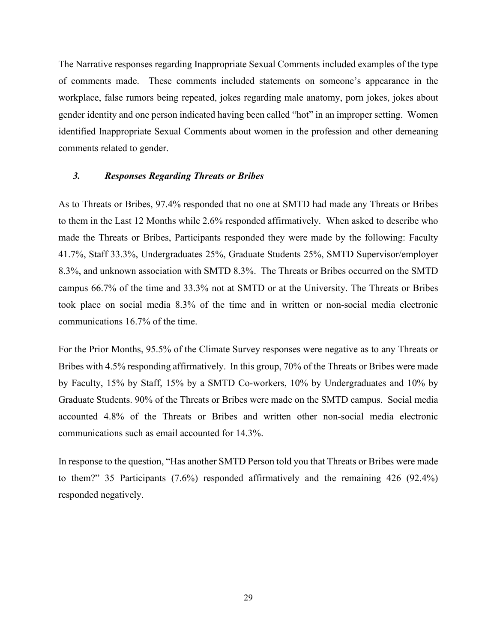The Narrative responses regarding Inappropriate Sexual Comments included examples of the type of comments made. These comments included statements on someone's appearance in the workplace, false rumors being repeated, jokes regarding male anatomy, porn jokes, jokes about gender identity and one person indicated having been called "hot" in an improper setting. Women identified Inappropriate Sexual Comments about women in the profession and other demeaning comments related to gender.

#### *3. Responses Regarding Threats or Bribes*

As to Threats or Bribes, 97.4% responded that no one at SMTD had made any Threats or Bribes to them in the Last 12 Months while 2.6% responded affirmatively. When asked to describe who made the Threats or Bribes, Participants responded they were made by the following: Faculty 41.7%, Staff 33.3%, Undergraduates 25%, Graduate Students 25%, SMTD Supervisor/employer 8.3%, and unknown association with SMTD 8.3%. The Threats or Bribes occurred on the SMTD campus 66.7% of the time and 33.3% not at SMTD or at the University. The Threats or Bribes took place on social media 8.3% of the time and in written or non-social media electronic communications 16.7% of the time.

For the Prior Months, 95.5% of the Climate Survey responses were negative as to any Threats or Bribes with 4.5% responding affirmatively. In this group, 70% of the Threats or Bribes were made by Faculty, 15% by Staff, 15% by a SMTD Co-workers, 10% by Undergraduates and 10% by Graduate Students. 90% of the Threats or Bribes were made on the SMTD campus. Social media accounted 4.8% of the Threats or Bribes and written other non-social media electronic communications such as email accounted for 14.3%.

In response to the question, "Has another SMTD Person told you that Threats or Bribes were made to them?" 35 Participants (7.6%) responded affirmatively and the remaining 426 (92.4%) responded negatively.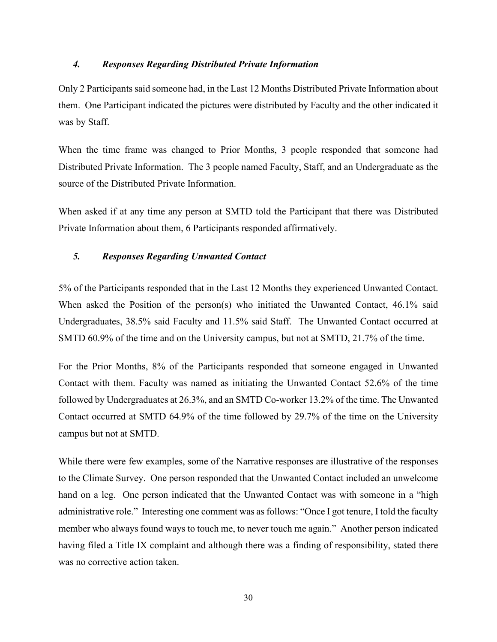#### *4. Responses Regarding Distributed Private Information*

Only 2 Participants said someone had, in the Last 12 Months Distributed Private Information about them. One Participant indicated the pictures were distributed by Faculty and the other indicated it was by Staff.

When the time frame was changed to Prior Months, 3 people responded that someone had Distributed Private Information. The 3 people named Faculty, Staff, and an Undergraduate as the source of the Distributed Private Information.

When asked if at any time any person at SMTD told the Participant that there was Distributed Private Information about them, 6 Participants responded affirmatively.

#### *5. Responses Regarding Unwanted Contact*

5% of the Participants responded that in the Last 12 Months they experienced Unwanted Contact. When asked the Position of the person(s) who initiated the Unwanted Contact,  $46.1\%$  said Undergraduates, 38.5% said Faculty and 11.5% said Staff. The Unwanted Contact occurred at SMTD 60.9% of the time and on the University campus, but not at SMTD, 21.7% of the time.

For the Prior Months, 8% of the Participants responded that someone engaged in Unwanted Contact with them. Faculty was named as initiating the Unwanted Contact 52.6% of the time followed by Undergraduates at 26.3%, and an SMTD Co-worker 13.2% of the time. The Unwanted Contact occurred at SMTD 64.9% of the time followed by 29.7% of the time on the University campus but not at SMTD.

While there were few examples, some of the Narrative responses are illustrative of the responses to the Climate Survey. One person responded that the Unwanted Contact included an unwelcome hand on a leg. One person indicated that the Unwanted Contact was with someone in a "high administrative role." Interesting one comment was as follows: "Once I got tenure, I told the faculty member who always found ways to touch me, to never touch me again." Another person indicated having filed a Title IX complaint and although there was a finding of responsibility, stated there was no corrective action taken.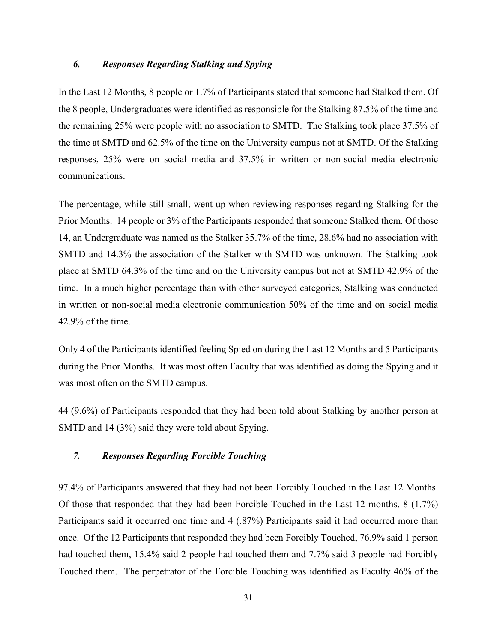#### *6. Responses Regarding Stalking and Spying*

In the Last 12 Months, 8 people or 1.7% of Participants stated that someone had Stalked them. Of the 8 people, Undergraduates were identified as responsible for the Stalking 87.5% of the time and the remaining 25% were people with no association to SMTD. The Stalking took place 37.5% of the time at SMTD and 62.5% of the time on the University campus not at SMTD. Of the Stalking responses, 25% were on social media and 37.5% in written or non-social media electronic communications.

The percentage, while still small, went up when reviewing responses regarding Stalking for the Prior Months. 14 people or 3% of the Participants responded that someone Stalked them. Of those 14, an Undergraduate was named as the Stalker 35.7% of the time, 28.6% had no association with SMTD and 14.3% the association of the Stalker with SMTD was unknown. The Stalking took place at SMTD 64.3% of the time and on the University campus but not at SMTD 42.9% of the time. In a much higher percentage than with other surveyed categories, Stalking was conducted in written or non-social media electronic communication 50% of the time and on social media 42.9% of the time.

Only 4 of the Participants identified feeling Spied on during the Last 12 Months and 5 Participants during the Prior Months. It was most often Faculty that was identified as doing the Spying and it was most often on the SMTD campus.

44 (9.6%) of Participants responded that they had been told about Stalking by another person at SMTD and 14 (3%) said they were told about Spying.

#### *7. Responses Regarding Forcible Touching*

97.4% of Participants answered that they had not been Forcibly Touched in the Last 12 Months. Of those that responded that they had been Forcible Touched in the Last 12 months, 8 (1.7%) Participants said it occurred one time and 4 (.87%) Participants said it had occurred more than once. Of the 12 Participants that responded they had been Forcibly Touched, 76.9% said 1 person had touched them, 15.4% said 2 people had touched them and 7.7% said 3 people had Forcibly Touched them. The perpetrator of the Forcible Touching was identified as Faculty 46% of the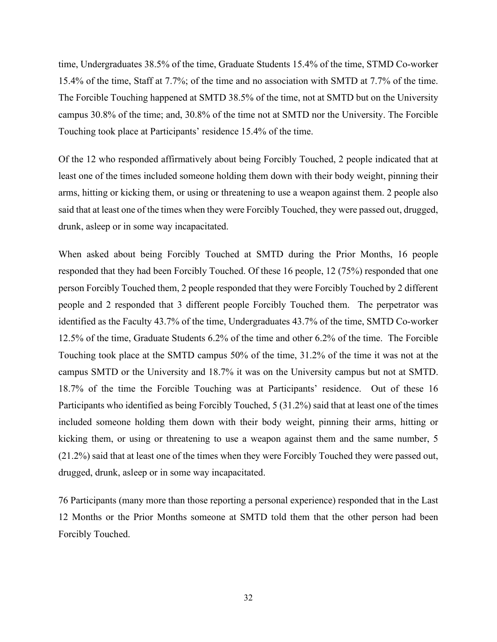time, Undergraduates 38.5% of the time, Graduate Students 15.4% of the time, STMD Co-worker 15.4% of the time, Staff at 7.7%; of the time and no association with SMTD at 7.7% of the time. The Forcible Touching happened at SMTD 38.5% of the time, not at SMTD but on the University campus 30.8% of the time; and, 30.8% of the time not at SMTD nor the University. The Forcible Touching took place at Participants' residence 15.4% of the time.

Of the 12 who responded affirmatively about being Forcibly Touched, 2 people indicated that at least one of the times included someone holding them down with their body weight, pinning their arms, hitting or kicking them, or using or threatening to use a weapon against them. 2 people also said that at least one of the times when they were Forcibly Touched, they were passed out, drugged, drunk, asleep or in some way incapacitated.

When asked about being Forcibly Touched at SMTD during the Prior Months, 16 people responded that they had been Forcibly Touched. Of these 16 people, 12 (75%) responded that one person Forcibly Touched them, 2 people responded that they were Forcibly Touched by 2 different people and 2 responded that 3 different people Forcibly Touched them. The perpetrator was identified as the Faculty 43.7% of the time, Undergraduates 43.7% of the time, SMTD Co-worker 12.5% of the time, Graduate Students 6.2% of the time and other 6.2% of the time. The Forcible Touching took place at the SMTD campus 50% of the time, 31.2% of the time it was not at the campus SMTD or the University and 18.7% it was on the University campus but not at SMTD. 18.7% of the time the Forcible Touching was at Participants' residence. Out of these 16 Participants who identified as being Forcibly Touched, 5 (31.2%) said that at least one of the times included someone holding them down with their body weight, pinning their arms, hitting or kicking them, or using or threatening to use a weapon against them and the same number, 5 (21.2%) said that at least one of the times when they were Forcibly Touched they were passed out, drugged, drunk, asleep or in some way incapacitated.

76 Participants (many more than those reporting a personal experience) responded that in the Last 12 Months or the Prior Months someone at SMTD told them that the other person had been Forcibly Touched.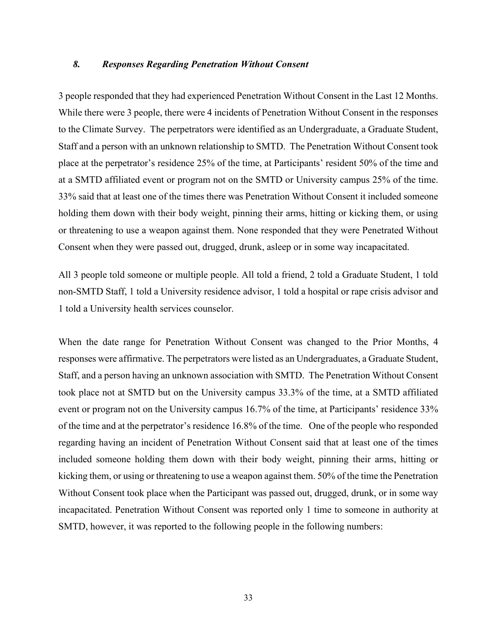#### *8. Responses Regarding Penetration Without Consent*

3 people responded that they had experienced Penetration Without Consent in the Last 12 Months. While there were 3 people, there were 4 incidents of Penetration Without Consent in the responses to the Climate Survey. The perpetrators were identified as an Undergraduate, a Graduate Student, Staff and a person with an unknown relationship to SMTD. The Penetration Without Consent took place at the perpetrator's residence 25% of the time, at Participants' resident 50% of the time and at a SMTD affiliated event or program not on the SMTD or University campus 25% of the time. 33% said that at least one of the times there was Penetration Without Consent it included someone holding them down with their body weight, pinning their arms, hitting or kicking them, or using or threatening to use a weapon against them. None responded that they were Penetrated Without Consent when they were passed out, drugged, drunk, asleep or in some way incapacitated.

All 3 people told someone or multiple people. All told a friend, 2 told a Graduate Student, 1 told non-SMTD Staff, 1 told a University residence advisor, 1 told a hospital or rape crisis advisor and 1 told a University health services counselor.

When the date range for Penetration Without Consent was changed to the Prior Months, 4 responses were affirmative. The perpetrators were listed as an Undergraduates, a Graduate Student, Staff, and a person having an unknown association with SMTD. The Penetration Without Consent took place not at SMTD but on the University campus 33.3% of the time, at a SMTD affiliated event or program not on the University campus 16.7% of the time, at Participants' residence 33% of the time and at the perpetrator's residence 16.8% of the time. One of the people who responded regarding having an incident of Penetration Without Consent said that at least one of the times included someone holding them down with their body weight, pinning their arms, hitting or kicking them, or using or threatening to use a weapon against them. 50% of the time the Penetration Without Consent took place when the Participant was passed out, drugged, drunk, or in some way incapacitated. Penetration Without Consent was reported only 1 time to someone in authority at SMTD, however, it was reported to the following people in the following numbers: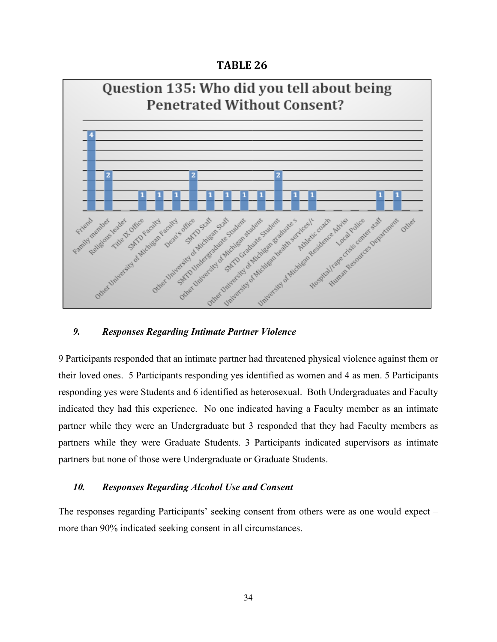#### **TABLE 26**



#### *9. Responses Regarding Intimate Partner Violence*

9 Participants responded that an intimate partner had threatened physical violence against them or their loved ones. 5 Participants responding yes identified as women and 4 as men. 5 Participants responding yes were Students and 6 identified as heterosexual. Both Undergraduates and Faculty indicated they had this experience. No one indicated having a Faculty member as an intimate partner while they were an Undergraduate but 3 responded that they had Faculty members as partners while they were Graduate Students. 3 Participants indicated supervisors as intimate partners but none of those were Undergraduate or Graduate Students.

#### *10. Responses Regarding Alcohol Use and Consent*

The responses regarding Participants' seeking consent from others were as one would expect – more than 90% indicated seeking consent in all circumstances.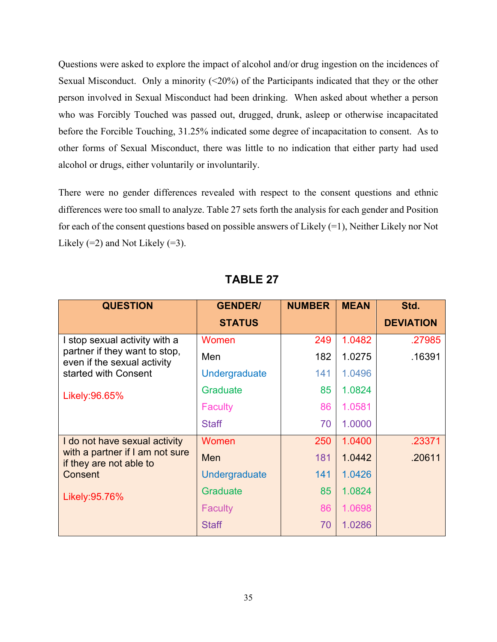Questions were asked to explore the impact of alcohol and/or drug ingestion on the incidences of Sexual Misconduct. Only a minority  $(\leq 20\%)$  of the Participants indicated that they or the other person involved in Sexual Misconduct had been drinking. When asked about whether a person who was Forcibly Touched was passed out, drugged, drunk, asleep or otherwise incapacitated before the Forcible Touching, 31.25% indicated some degree of incapacitation to consent. As to other forms of Sexual Misconduct, there was little to no indication that either party had used alcohol or drugs, either voluntarily or involuntarily.

There were no gender differences revealed with respect to the consent questions and ethnic differences were too small to analyze. Table 27 sets forth the analysis for each gender and Position for each of the consent questions based on possible answers of Likely (=1), Neither Likely nor Not Likely  $(=2)$  and Not Likely  $(=3)$ .

| <b>QUESTION</b>                                              | <b>GENDER/</b> | <b>NUMBER</b> | <b>MEAN</b> | Std.             |
|--------------------------------------------------------------|----------------|---------------|-------------|------------------|
|                                                              | <b>STATUS</b>  |               |             | <b>DEVIATION</b> |
| I stop sexual activity with a                                | Women          | 249           | 1.0482      | .27985           |
| partner if they want to stop,<br>even if the sexual activity | Men            | 182           | 1.0275      | .16391           |
| started with Consent                                         | Undergraduate  | 141           | 1.0496      |                  |
| Likely: 96.65%                                               | Graduate       | 85            | 1.0824      |                  |
|                                                              | <b>Faculty</b> | 86            | 1.0581      |                  |
|                                                              | <b>Staff</b>   | 70            | 1.0000      |                  |
| I do not have sexual activity                                | Women          | 250           | 1.0400      | .23371           |
| with a partner if I am not sure<br>if they are not able to   | Men            | 181           | 1.0442      | .20611           |
| Consent                                                      | Undergraduate  | 141           | 1.0426      |                  |
| Likely: 95.76%                                               | Graduate       | 85            | 1.0824      |                  |
|                                                              | <b>Faculty</b> | 86            | 1.0698      |                  |
|                                                              | <b>Staff</b>   | 70            | 1.0286      |                  |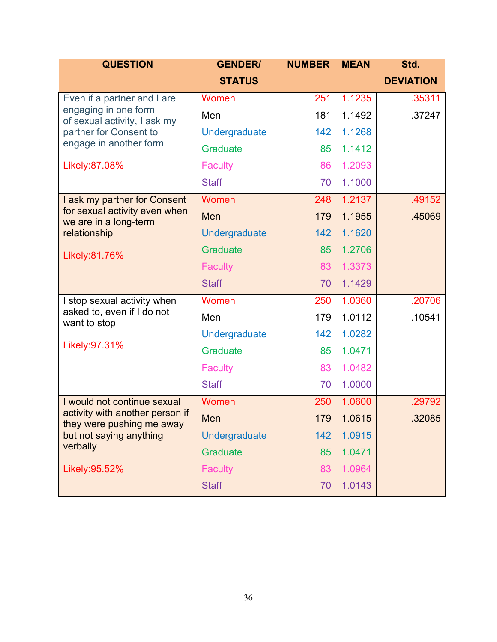| <b>QUESTION</b>                                              | <b>GENDER/</b>       | <b>NUMBER</b> | <b>MEAN</b> | Std.             |
|--------------------------------------------------------------|----------------------|---------------|-------------|------------------|
|                                                              | <b>STATUS</b>        |               |             | <b>DEVIATION</b> |
| Even if a partner and I are                                  | Women                | 251           | 1.1235      | .35311           |
| engaging in one form<br>of sexual activity, I ask my         | Men                  | 181           | 1.1492      | .37247           |
| partner for Consent to                                       | Undergraduate        | 142           | 1.1268      |                  |
| engage in another form                                       | <b>Graduate</b>      | 85            | 1.1412      |                  |
| Likely:87.08%                                                | <b>Faculty</b>       | 86            | 1.2093      |                  |
|                                                              | <b>Staff</b>         | 70            | 1.1000      |                  |
| I ask my partner for Consent                                 | Women                | 248           | 1.2137      | .49152           |
| for sexual activity even when<br>we are in a long-term       | Men                  | 179           | 1.1955      | .45069           |
| relationship                                                 | <b>Undergraduate</b> | 142           | 1.1620      |                  |
| Likely:81.76%                                                | <b>Graduate</b>      | 85            | 1.2706      |                  |
|                                                              | <b>Faculty</b>       | 83            | 1.3373      |                  |
|                                                              | <b>Staff</b>         | 70            | 1.1429      |                  |
| I stop sexual activity when                                  | Women                | 250           | 1.0360      | .20706           |
| asked to, even if I do not<br>want to stop                   | Men                  | 179           | 1.0112      | .10541           |
|                                                              | Undergraduate        | 142           | 1.0282      |                  |
| Likely: 97.31%                                               | <b>Graduate</b>      | 85            | 1.0471      |                  |
|                                                              | <b>Faculty</b>       | 83            | 1.0482      |                  |
|                                                              | <b>Staff</b>         | 70            | 1.0000      |                  |
| I would not continue sexual                                  | Women                | 250           | 1.0600      | .29792           |
| activity with another person if<br>they were pushing me away | Men                  | 179           | 1.0615      | 32085            |
| but not saying anything                                      | Undergraduate        | 142           | 1.0915      |                  |
| verbally                                                     | Graduate             | 85            | 1.0471      |                  |
| Likely: 95.52%                                               | <b>Faculty</b>       | 83            | 1.0964      |                  |
|                                                              | <b>Staff</b>         | 70            | 1.0143      |                  |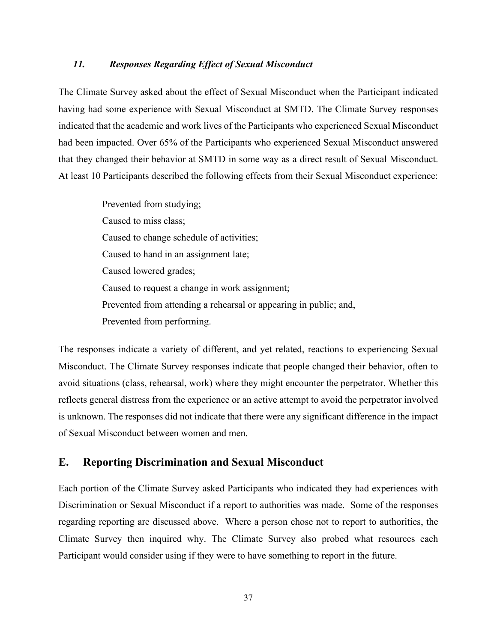#### *11. Responses Regarding Effect of Sexual Misconduct*

The Climate Survey asked about the effect of Sexual Misconduct when the Participant indicated having had some experience with Sexual Misconduct at SMTD. The Climate Survey responses indicated that the academic and work lives of the Participants who experienced Sexual Misconduct had been impacted. Over 65% of the Participants who experienced Sexual Misconduct answered that they changed their behavior at SMTD in some way as a direct result of Sexual Misconduct. At least 10 Participants described the following effects from their Sexual Misconduct experience:

> Prevented from studying; Caused to miss class; Caused to change schedule of activities; Caused to hand in an assignment late; Caused lowered grades; Caused to request a change in work assignment; Prevented from attending a rehearsal or appearing in public; and, Prevented from performing.

The responses indicate a variety of different, and yet related, reactions to experiencing Sexual Misconduct. The Climate Survey responses indicate that people changed their behavior, often to avoid situations (class, rehearsal, work) where they might encounter the perpetrator. Whether this reflects general distress from the experience or an active attempt to avoid the perpetrator involved is unknown. The responses did not indicate that there were any significant difference in the impact of Sexual Misconduct between women and men.

#### **E. Reporting Discrimination and Sexual Misconduct**

Each portion of the Climate Survey asked Participants who indicated they had experiences with Discrimination or Sexual Misconduct if a report to authorities was made. Some of the responses regarding reporting are discussed above. Where a person chose not to report to authorities, the Climate Survey then inquired why. The Climate Survey also probed what resources each Participant would consider using if they were to have something to report in the future.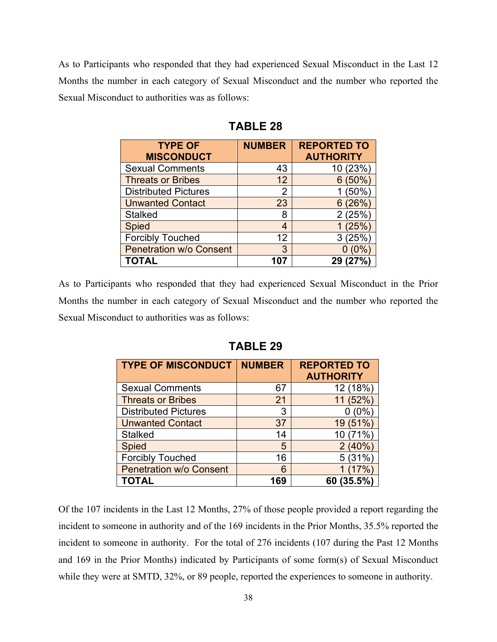As to Participants who responded that they had experienced Sexual Misconduct in the Last 12 Months the number in each category of Sexual Misconduct and the number who reported the Sexual Misconduct to authorities was as follows:

| <b>TYPE OF</b><br><b>MISCONDUCT</b> | <b>NUMBER</b> | <b>REPORTED TO</b><br><b>AUTHORITY</b> |
|-------------------------------------|---------------|----------------------------------------|
| <b>Sexual Comments</b>              | 43            | 10 (23%)                               |
| <b>Threats or Bribes</b>            | 12            | $6(50\%)$                              |
| <b>Distributed Pictures</b>         | 2             | (50%                                   |
| <b>Unwanted Contact</b>             | 23            | 6(26%)                                 |
| <b>Stalked</b>                      | 8             | 2(25%                                  |
| <b>Spied</b>                        | 4             | 1(25%)                                 |
| <b>Forcibly Touched</b>             | 12            | 3(25%)                                 |
| <b>Penetration w/o Consent</b>      | 3             |                                        |
| <b>TOTAL</b>                        |               | 29                                     |

**TABLE 28**

As to Participants who responded that they had experienced Sexual Misconduct in the Prior Months the number in each category of Sexual Misconduct and the number who reported the Sexual Misconduct to authorities was as follows:

| <b>TYPE OF MISCONDUCT</b>      | <b>NUMBER</b> | <b>REPORTED TO</b><br><b>AUTHORITY</b> |
|--------------------------------|---------------|----------------------------------------|
| <b>Sexual Comments</b>         | 67            | 12 (18%)                               |
| <b>Threats or Bribes</b>       | 21            | 11 (52%)                               |
| <b>Distributed Pictures</b>    | 3             | 0 (0%)                                 |
| <b>Unwanted Contact</b>        | 37            | 19 (51%)                               |
| <b>Stalked</b>                 | 14            | 10 (71%)                               |
| <b>Spied</b>                   | 5             | 2(40%)                                 |
| <b>Forcibly Touched</b>        | 16            | 5(31%)                                 |
| <b>Penetration w/o Consent</b> | 6             | 1(17%)                                 |
| <b>TOTAL</b>                   | 169           | 60 (35.5%)                             |

**TABLE 29**

Of the 107 incidents in the Last 12 Months, 27% of those people provided a report regarding the incident to someone in authority and of the 169 incidents in the Prior Months, 35.5% reported the incident to someone in authority. For the total of 276 incidents (107 during the Past 12 Months and 169 in the Prior Months) indicated by Participants of some form(s) of Sexual Misconduct while they were at SMTD, 32%, or 89 people, reported the experiences to someone in authority.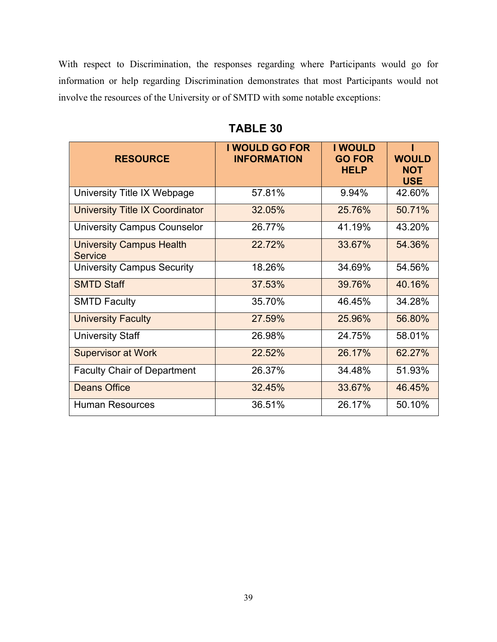With respect to Discrimination, the responses regarding where Participants would go for information or help regarding Discrimination demonstrates that most Participants would not involve the resources of the University or of SMTD with some notable exceptions:

| <b>RESOURCE</b>                                   | I WOULD GO FOR<br><b>INFORMATION</b> | <b>I WOULD</b><br><b>GO FOR</b><br><b>HELP</b> | <b>WOULD</b><br><b>NOT</b><br><b>USE</b> |
|---------------------------------------------------|--------------------------------------|------------------------------------------------|------------------------------------------|
| University Title IX Webpage                       | 57.81%                               | 9.94%                                          | 42.60%                                   |
| University Title IX Coordinator                   | 32.05%                               | 25.76%                                         | 50.71%                                   |
| <b>University Campus Counselor</b>                | 26.77%                               | 41.19%                                         | 43.20%                                   |
| <b>University Campus Health</b><br><b>Service</b> | 22.72%                               | 33.67%                                         | 54.36%                                   |
| <b>University Campus Security</b>                 | 18.26%                               | 34.69%                                         | 54.56%                                   |
| <b>SMTD Staff</b>                                 | 37.53%                               | 39.76%                                         | 40.16%                                   |
| <b>SMTD Faculty</b>                               | 35.70%                               | 46.45%                                         | 34.28%                                   |
| <b>University Faculty</b>                         | 27.59%                               | 25.96%                                         | 56.80%                                   |
| <b>University Staff</b>                           | 26.98%                               | 24.75%                                         | 58.01%                                   |
| <b>Supervisor at Work</b>                         | 22.52%                               | 26.17%                                         | 62.27%                                   |
| <b>Faculty Chair of Department</b>                | 26.37%                               | 34.48%                                         | 51.93%                                   |
| <b>Deans Office</b>                               | 32.45%                               | 33.67%                                         | 46.45%                                   |
| <b>Human Resources</b>                            | 36.51%                               | 26.17%                                         | 50.10%                                   |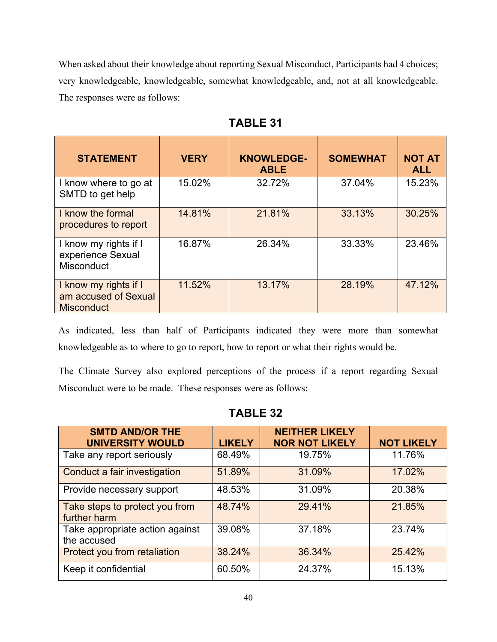When asked about their knowledge about reporting Sexual Misconduct, Participants had 4 choices; very knowledgeable, knowledgeable, somewhat knowledgeable, and, not at all knowledgeable. The responses were as follows:

| <b>STATEMENT</b>                                                   | <b>VERY</b> | <b>KNOWLEDGE-</b><br><b>ABLE</b> | <b>SOMEWHAT</b> | <b>NOT AT</b><br><b>ALL</b> |
|--------------------------------------------------------------------|-------------|----------------------------------|-----------------|-----------------------------|
| I know where to go at<br>SMTD to get help                          | 15.02%      | 32.72%                           | 37.04%          | 15.23%                      |
| I know the formal<br>procedures to report                          | 14.81%      | 21.81%                           | 33.13%          | 30.25%                      |
| I know my rights if I<br>experience Sexual<br>Misconduct           | 16.87%      | 26.34%                           | 33.33%          | 23.46%                      |
| I know my rights if I<br>am accused of Sexual<br><b>Misconduct</b> | 11.52%      | 13.17%                           | 28.19%          | 47.12%                      |

| $\mathbf 1$ |
|-------------|
|             |

As indicated, less than half of Participants indicated they were more than somewhat knowledgeable as to where to go to report, how to report or what their rights would be.

The Climate Survey also explored perceptions of the process if a report regarding Sexual Misconduct were to be made. These responses were as follows:

| <b>SMTD AND/OR THE</b><br><b>UNIVERSITY WOULD</b> | <b>LIKELY</b> | <b>NEITHER LIKELY</b><br><b>NOR NOT LIKELY</b> | <b>NOT LIKELY</b> |
|---------------------------------------------------|---------------|------------------------------------------------|-------------------|
| Take any report seriously                         | 68.49%        | 19.75%                                         | 11.76%            |
| Conduct a fair investigation                      | 51.89%        | 31.09%                                         | 17.02%            |
| Provide necessary support                         | 48.53%        | 31.09%                                         | 20.38%            |
| Take steps to protect you from<br>further harm    | 48.74%        | 29.41%                                         | 21.85%            |
| Take appropriate action against<br>the accused    | 39.08%        | 37.18%                                         | 23.74%            |
| Protect you from retaliation                      | 38.24%        | 36.34%                                         | 25.42%            |
| Keep it confidential                              | 60.50%        | 24.37%                                         | 15.13%            |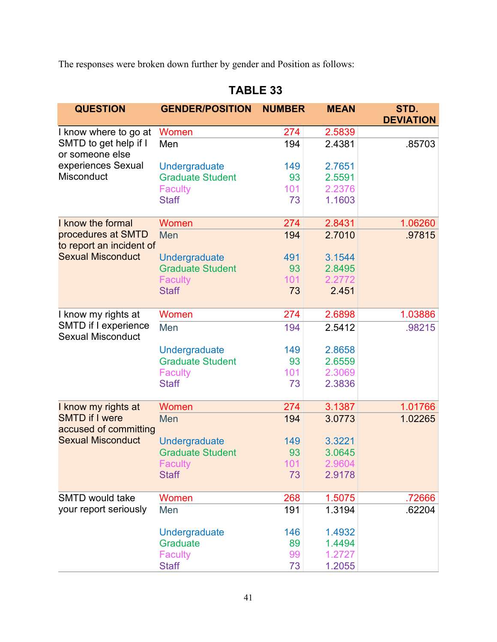The responses were broken down further by gender and Position as follows:

| <b>QUESTION</b>                                      | <b>GENDER/POSITION</b>                   | <b>NUMBER</b> | <b>MEAN</b> | STD.             |
|------------------------------------------------------|------------------------------------------|---------------|-------------|------------------|
|                                                      |                                          |               |             | <b>DEVIATION</b> |
| I know where to go at                                | Women                                    | 274           | 2.5839      |                  |
| SMTD to get help if I<br>or someone else             | Men                                      | 194           | 2.4381      | .85703           |
| experiences Sexual                                   | Undergraduate                            | 149           | 2.7651      |                  |
| Misconduct                                           | <b>Graduate Student</b>                  | 93            | 2.5591      |                  |
|                                                      | <b>Faculty</b>                           | 101           | 2.2376      |                  |
|                                                      | <b>Staff</b>                             | 73            | 1.1603      |                  |
| I know the formal                                    | Women                                    | 274           | 2.8431      | 1.06260          |
| procedures at SMTD                                   | Men                                      | 194           | 2.7010      | .97815           |
| to report an incident of<br><b>Sexual Misconduct</b> |                                          | 491           | 3.1544      |                  |
|                                                      | Undergraduate<br><b>Graduate Student</b> | 93            | 2.8495      |                  |
|                                                      | <b>Faculty</b>                           | 101           | 2.2772      |                  |
|                                                      | <b>Staff</b>                             | 73            | 2.451       |                  |
|                                                      |                                          |               |             |                  |
| I know my rights at                                  | Women                                    | 274           | 2.6898      | 1.03886          |
| SMTD if I experience<br><b>Sexual Misconduct</b>     | Men                                      | 194           | 2.5412      | .98215           |
|                                                      | Undergraduate                            | 149           | 2.8658      |                  |
|                                                      | <b>Graduate Student</b>                  | 93            | 2.6559      |                  |
|                                                      | <b>Faculty</b>                           | 101           | 2.3069      |                  |
|                                                      | <b>Staff</b>                             | 73            | 2.3836      |                  |
| I know my rights at                                  | Women                                    | 274           | 3.1387      | 1.01766          |
| <b>SMTD if I were</b><br>accused of committing       | Men                                      | 194           | 3.0773      | 1.02265          |
| <b>Sexual Misconduct</b>                             | Undergraduate                            | 149           | 3.3221      |                  |
|                                                      | <b>Graduate Student</b>                  | 93            | 3.0645      |                  |
|                                                      | Faculty                                  | 101           | 2.9604      |                  |
|                                                      | <b>Staff</b>                             | 73            | 2.9178      |                  |
| SMTD would take                                      | Women                                    | 268           | 1.5075      | .72666           |
| your report seriously                                | Men                                      | 191           | 1.3194      | .62204           |
|                                                      | Undergraduate                            | 146           | 1.4932      |                  |
|                                                      | Graduate                                 | 89            | 1.4494      |                  |
|                                                      | <b>Faculty</b>                           | 99            | 1.2727      |                  |
|                                                      | <b>Staff</b>                             | 73            | 1.2055      |                  |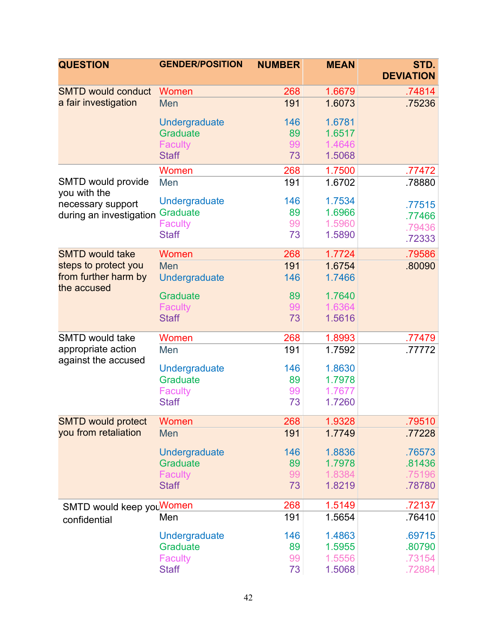| <b>QUESTION</b>                           | <b>GENDER/POSITION</b> | <b>NUMBER</b> | <b>MEAN</b> | STD.<br><b>DEVIATION</b> |
|-------------------------------------------|------------------------|---------------|-------------|--------------------------|
| <b>SMTD would conduct</b>                 | Women                  | 268           | 1.6679      | .74814                   |
| a fair investigation                      | Men                    | 191           | 1.6073      | .75236                   |
|                                           | Undergraduate          | 146           | 1.6781      |                          |
|                                           | <b>Graduate</b>        | 89            | 1.6517      |                          |
|                                           | <b>Faculty</b>         | 99            | 1.4646      |                          |
|                                           | <b>Staff</b>           | 73            | 1.5068      |                          |
|                                           | Women                  | 268           | 1.7500      | .77472                   |
| SMTD would provide<br>you with the        | Men                    | 191           | 1.6702      | .78880                   |
| necessary support                         | <b>Undergraduate</b>   | 146           | 1.7534      | .77515                   |
| during an investigation                   | <b>Graduate</b>        | 89            | 1.6966      | .77466                   |
|                                           | <b>Faculty</b>         | 99            | 1.5960      | .79436                   |
|                                           | <b>Staff</b>           | 73            | 1.5890      | .72333                   |
| <b>SMTD would take</b>                    | Women                  | 268           | 1.7724      | .79586                   |
| steps to protect you                      | Men                    | 191           | 1.6754      | .80090                   |
| from further harm by<br>the accused       | Undergraduate          | 146           | 1.7466      |                          |
|                                           | <b>Graduate</b>        | 89            | 1.7640      |                          |
|                                           | <b>Faculty</b>         | 99            | 1.6364      |                          |
|                                           | <b>Staff</b>           | 73            | 1.5616      |                          |
| <b>SMTD would take</b>                    | Women                  | 268           | 1.8993      | .77479                   |
| appropriate action<br>against the accused | Men                    | 191           | 1.7592      | .77772                   |
|                                           | Undergraduate          | 146           | 1.8630      |                          |
|                                           | <b>Graduate</b>        | 89            | 1.7978      |                          |
|                                           | Faculty                | 99            | 1.7677      |                          |
|                                           | <b>Staff</b>           | 73            | 1.7260      |                          |
| <b>SMTD would protect</b>                 | Women                  | 268           | 1.9328      | .79510                   |
| you from retaliation                      | Men                    | 191           | 1.7749      | .77228                   |
|                                           | Undergraduate          | 146           | 1.8836      | .76573                   |
|                                           | <b>Graduate</b>        | 89            | 1.7978      | .81436                   |
|                                           | <b>Faculty</b>         | 99            | 1.8384      | .75196                   |
|                                           | <b>Staff</b>           | 73            | 1.8219      | .78780                   |
| SMTD would keep youWomen                  |                        | 268           | 1.5149      | .72137                   |
| confidential                              | Men                    | 191           | 1.5654      | .76410                   |
|                                           | Undergraduate          | 146           | 1.4863      | .69715                   |
|                                           | <b>Graduate</b>        | 89            | 1.5955      | .80790                   |
|                                           | <b>Faculty</b>         | 99            | 1.5556      | .73154                   |
|                                           | <b>Staff</b>           | 73            | 1.5068      | .72884                   |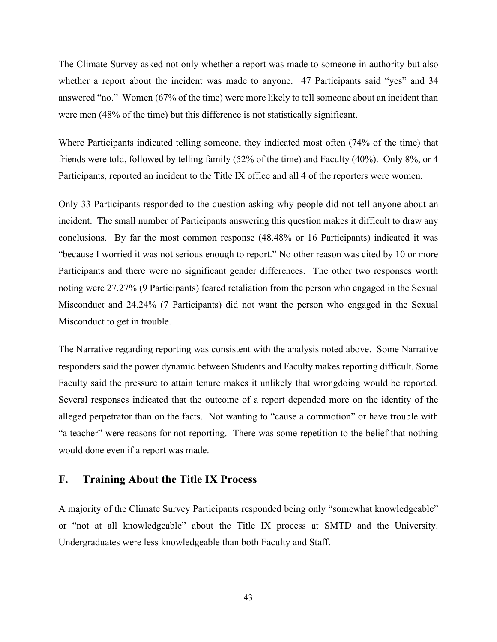The Climate Survey asked not only whether a report was made to someone in authority but also whether a report about the incident was made to anyone. 47 Participants said "yes" and 34 answered "no." Women (67% of the time) were more likely to tell someone about an incident than were men (48% of the time) but this difference is not statistically significant.

Where Participants indicated telling someone, they indicated most often (74% of the time) that friends were told, followed by telling family (52% of the time) and Faculty (40%). Only 8%, or 4 Participants, reported an incident to the Title IX office and all 4 of the reporters were women.

Only 33 Participants responded to the question asking why people did not tell anyone about an incident. The small number of Participants answering this question makes it difficult to draw any conclusions. By far the most common response (48.48% or 16 Participants) indicated it was "because I worried it was not serious enough to report." No other reason was cited by 10 or more Participants and there were no significant gender differences. The other two responses worth noting were 27.27% (9 Participants) feared retaliation from the person who engaged in the Sexual Misconduct and 24.24% (7 Participants) did not want the person who engaged in the Sexual Misconduct to get in trouble.

The Narrative regarding reporting was consistent with the analysis noted above. Some Narrative responders said the power dynamic between Students and Faculty makes reporting difficult. Some Faculty said the pressure to attain tenure makes it unlikely that wrongdoing would be reported. Several responses indicated that the outcome of a report depended more on the identity of the alleged perpetrator than on the facts. Not wanting to "cause a commotion" or have trouble with "a teacher" were reasons for not reporting. There was some repetition to the belief that nothing would done even if a report was made.

#### **F. Training About the Title IX Process**

A majority of the Climate Survey Participants responded being only "somewhat knowledgeable" or "not at all knowledgeable" about the Title IX process at SMTD and the University. Undergraduates were less knowledgeable than both Faculty and Staff.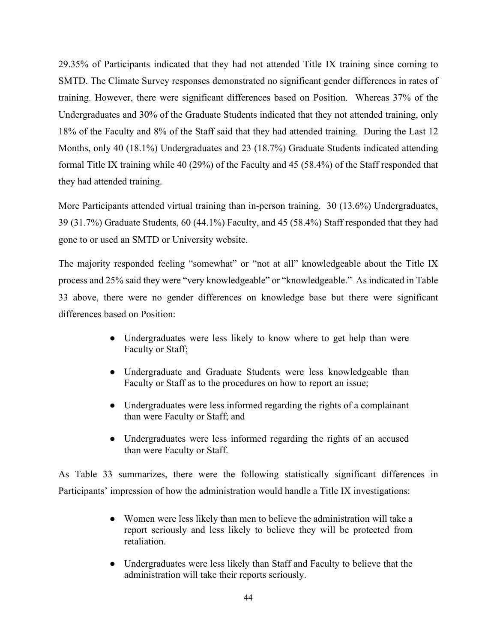29.35% of Participants indicated that they had not attended Title IX training since coming to SMTD. The Climate Survey responses demonstrated no significant gender differences in rates of training. However, there were significant differences based on Position. Whereas 37% of the Undergraduates and 30% of the Graduate Students indicated that they not attended training, only 18% of the Faculty and 8% of the Staff said that they had attended training. During the Last 12 Months, only 40 (18.1%) Undergraduates and 23 (18.7%) Graduate Students indicated attending formal Title IX training while 40 (29%) of the Faculty and 45 (58.4%) of the Staff responded that they had attended training.

More Participants attended virtual training than in-person training. 30 (13.6%) Undergraduates, 39 (31.7%) Graduate Students, 60 (44.1%) Faculty, and 45 (58.4%) Staff responded that they had gone to or used an SMTD or University website.

The majority responded feeling "somewhat" or "not at all" knowledgeable about the Title IX process and 25% said they were "very knowledgeable" or "knowledgeable." As indicated in Table 33 above, there were no gender differences on knowledge base but there were significant differences based on Position:

- Undergraduates were less likely to know where to get help than were Faculty or Staff;
- Undergraduate and Graduate Students were less knowledgeable than Faculty or Staff as to the procedures on how to report an issue;
- Undergraduates were less informed regarding the rights of a complainant than were Faculty or Staff; and
- Undergraduates were less informed regarding the rights of an accused than were Faculty or Staff.

As Table 33 summarizes, there were the following statistically significant differences in Participants' impression of how the administration would handle a Title IX investigations:

- Women were less likely than men to believe the administration will take a report seriously and less likely to believe they will be protected from retaliation.
- Undergraduates were less likely than Staff and Faculty to believe that the administration will take their reports seriously.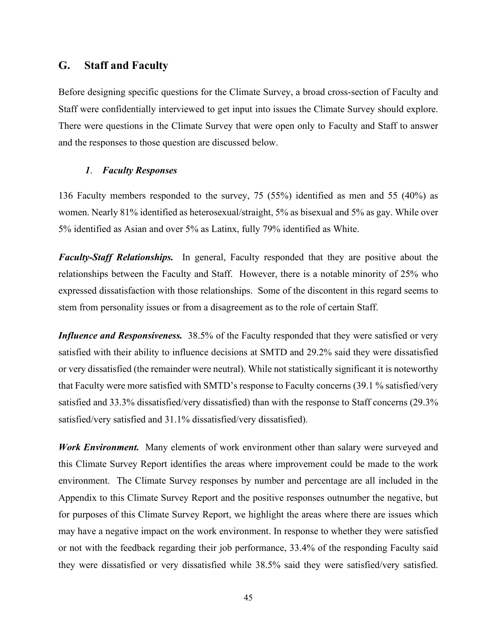#### **G. Staff and Faculty**

Before designing specific questions for the Climate Survey, a broad cross-section of Faculty and Staff were confidentially interviewed to get input into issues the Climate Survey should explore. There were questions in the Climate Survey that were open only to Faculty and Staff to answer and the responses to those question are discussed below.

#### *1*. *Faculty Responses*

136 Faculty members responded to the survey, 75 (55%) identified as men and 55 (40%) as women. Nearly 81% identified as heterosexual/straight, 5% as bisexual and 5% as gay. While over 5% identified as Asian and over 5% as Latinx, fully 79% identified as White.

*Faculty-Staff Relationships.* In general, Faculty responded that they are positive about the relationships between the Faculty and Staff. However, there is a notable minority of 25% who expressed dissatisfaction with those relationships. Some of the discontent in this regard seems to stem from personality issues or from a disagreement as to the role of certain Staff.

*Influence and Responsiveness.* 38.5% of the Faculty responded that they were satisfied or very satisfied with their ability to influence decisions at SMTD and 29.2% said they were dissatisfied or very dissatisfied (the remainder were neutral). While not statistically significant it is noteworthy that Faculty were more satisfied with SMTD's response to Faculty concerns (39.1 % satisfied/very satisfied and 33.3% dissatisfied/very dissatisfied) than with the response to Staff concerns (29.3% satisfied/very satisfied and 31.1% dissatisfied/very dissatisfied).

*Work Environment.* Many elements of work environment other than salary were surveyed and this Climate Survey Report identifies the areas where improvement could be made to the work environment. The Climate Survey responses by number and percentage are all included in the Appendix to this Climate Survey Report and the positive responses outnumber the negative, but for purposes of this Climate Survey Report, we highlight the areas where there are issues which may have a negative impact on the work environment. In response to whether they were satisfied or not with the feedback regarding their job performance, 33.4% of the responding Faculty said they were dissatisfied or very dissatisfied while 38.5% said they were satisfied/very satisfied.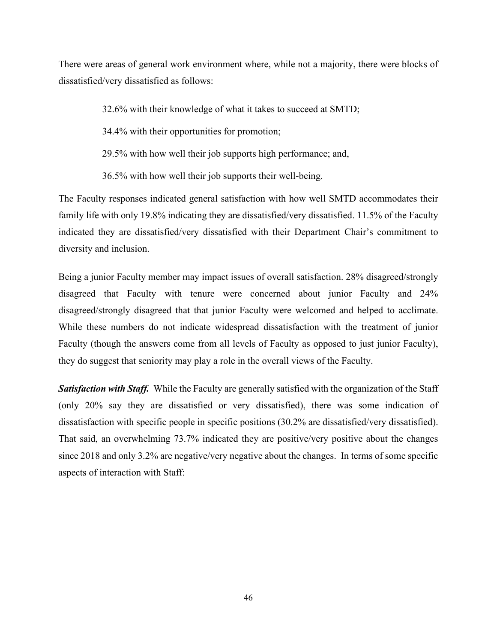There were areas of general work environment where, while not a majority, there were blocks of dissatisfied/very dissatisfied as follows:

32.6% with their knowledge of what it takes to succeed at SMTD;

34.4% with their opportunities for promotion;

29.5% with how well their job supports high performance; and,

36.5% with how well their job supports their well-being.

The Faculty responses indicated general satisfaction with how well SMTD accommodates their family life with only 19.8% indicating they are dissatisfied/very dissatisfied. 11.5% of the Faculty indicated they are dissatisfied/very dissatisfied with their Department Chair's commitment to diversity and inclusion.

Being a junior Faculty member may impact issues of overall satisfaction. 28% disagreed/strongly disagreed that Faculty with tenure were concerned about junior Faculty and 24% disagreed/strongly disagreed that that junior Faculty were welcomed and helped to acclimate. While these numbers do not indicate widespread dissatisfaction with the treatment of junior Faculty (though the answers come from all levels of Faculty as opposed to just junior Faculty), they do suggest that seniority may play a role in the overall views of the Faculty.

*Satisfaction with Staff.* While the Faculty are generally satisfied with the organization of the Staff (only 20% say they are dissatisfied or very dissatisfied), there was some indication of dissatisfaction with specific people in specific positions (30.2% are dissatisfied/very dissatisfied). That said, an overwhelming 73.7% indicated they are positive/very positive about the changes since 2018 and only 3.2% are negative/very negative about the changes. In terms of some specific aspects of interaction with Staff: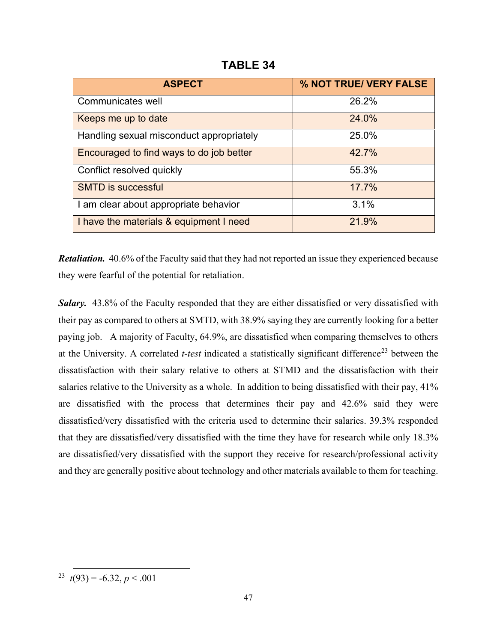**TABLE 34**

| <b>ASPECT</b>                            | % NOT TRUE/ VERY FALSE |
|------------------------------------------|------------------------|
| Communicates well                        | 26.2%                  |
| Keeps me up to date                      | 24.0%                  |
| Handling sexual misconduct appropriately | 25.0%                  |
| Encouraged to find ways to do job better | 42.7%                  |
| Conflict resolved quickly                | 55.3%                  |
| <b>SMTD is successful</b>                | 17.7%                  |
| I am clear about appropriate behavior    | 3.1%                   |
| I have the materials & equipment I need  | 21.9%                  |

*Retaliation.* 40.6% of the Faculty said that they had not reported an issue they experienced because they were fearful of the potential for retaliation.

*Salary.* 43.8% of the Faculty responded that they are either dissatisfied or very dissatisfied with their pay as compared to others at SMTD, with 38.9% saying they are currently looking for a better paying job. A majority of Faculty, 64.9%, are dissatisfied when comparing themselves to others at the University. A correlated *t-test* indicated a statistically significant difference<sup>[23](#page-49-0)</sup> between the dissatisfaction with their salary relative to others at STMD and the dissatisfaction with their salaries relative to the University as a whole. In addition to being dissatisfied with their pay, 41% are dissatisfied with the process that determines their pay and 42.6% said they were dissatisfied/very dissatisfied with the criteria used to determine their salaries. 39.3% responded that they are dissatisfied/very dissatisfied with the time they have for research while only 18.3% are dissatisfied/very dissatisfied with the support they receive for research/professional activity and they are generally positive about technology and other materials available to them for teaching.

<span id="page-49-0"></span><sup>&</sup>lt;sup>23</sup> *t*(93) = -6.32, *p* < .001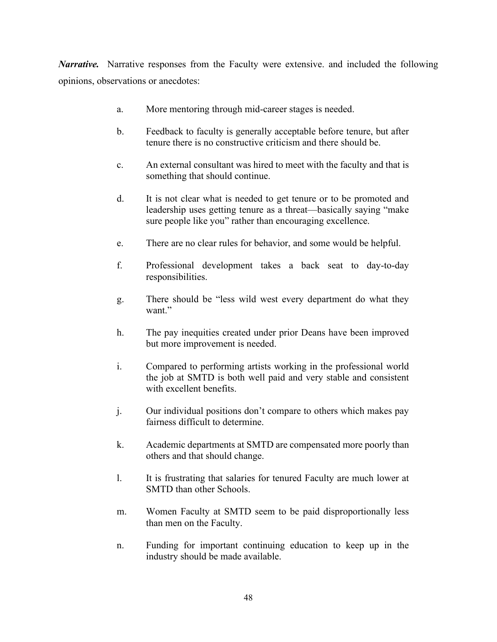*Narrative.* Narrative responses from the Faculty were extensive. and included the following opinions, observations or anecdotes:

- a. More mentoring through mid-career stages is needed.
- b. Feedback to faculty is generally acceptable before tenure, but after tenure there is no constructive criticism and there should be.
- c. An external consultant was hired to meet with the faculty and that is something that should continue.
- d. It is not clear what is needed to get tenure or to be promoted and leadership uses getting tenure as a threat—basically saying "make sure people like you" rather than encouraging excellence.
- e. There are no clear rules for behavior, and some would be helpful.
- f. Professional development takes a back seat to day-to-day responsibilities.
- g. There should be "less wild west every department do what they want."
- h. The pay inequities created under prior Deans have been improved but more improvement is needed.
- i. Compared to performing artists working in the professional world the job at SMTD is both well paid and very stable and consistent with excellent benefits.
- j. Our individual positions don't compare to others which makes pay fairness difficult to determine.
- k. Academic departments at SMTD are compensated more poorly than others and that should change.
- l. It is frustrating that salaries for tenured Faculty are much lower at SMTD than other Schools.
- m. Women Faculty at SMTD seem to be paid disproportionally less than men on the Faculty.
- n. Funding for important continuing education to keep up in the industry should be made available.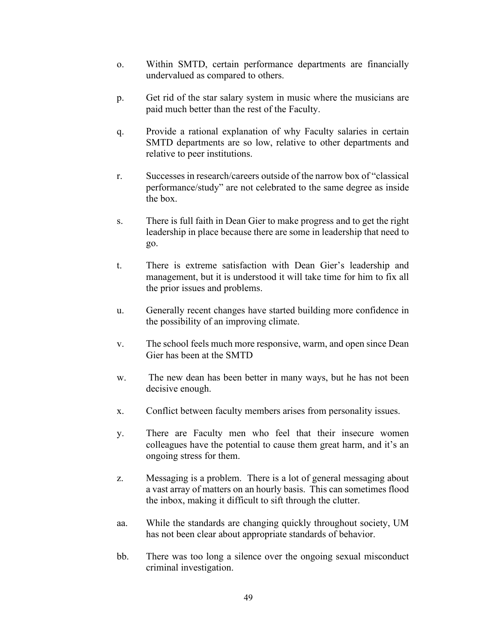- o. Within SMTD, certain performance departments are financially undervalued as compared to others.
- p. Get rid of the star salary system in music where the musicians are paid much better than the rest of the Faculty.
- q. Provide a rational explanation of why Faculty salaries in certain SMTD departments are so low, relative to other departments and relative to peer institutions.
- r. Successes in research/careers outside of the narrow box of "classical performance/study" are not celebrated to the same degree as inside the box.
- s. There is full faith in Dean Gier to make progress and to get the right leadership in place because there are some in leadership that need to go.
- t. There is extreme satisfaction with Dean Gier's leadership and management, but it is understood it will take time for him to fix all the prior issues and problems.
- u. Generally recent changes have started building more confidence in the possibility of an improving climate.
- v. The school feels much more responsive, warm, and open since Dean Gier has been at the SMTD
- w. The new dean has been better in many ways, but he has not been decisive enough.
- x. Conflict between faculty members arises from personality issues.
- y. There are Faculty men who feel that their insecure women colleagues have the potential to cause them great harm, and it's an ongoing stress for them.
- z. Messaging is a problem. There is a lot of general messaging about a vast array of matters on an hourly basis. This can sometimes flood the inbox, making it difficult to sift through the clutter.
- aa. While the standards are changing quickly throughout society, UM has not been clear about appropriate standards of behavior.
- bb. There was too long a silence over the ongoing sexual misconduct criminal investigation.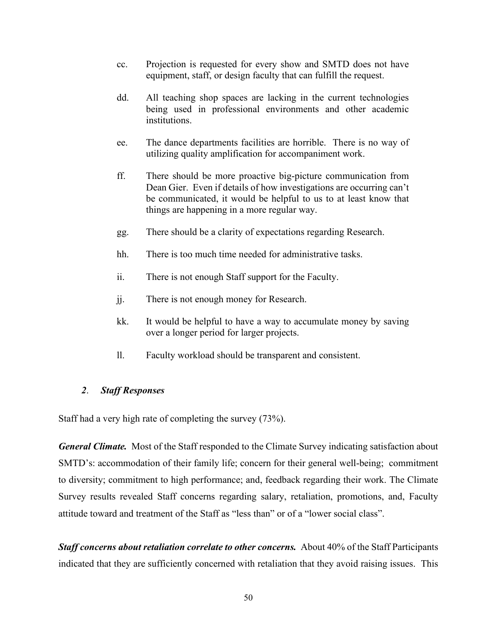- cc. Projection is requested for every show and SMTD does not have equipment, staff, or design faculty that can fulfill the request.
- dd. All teaching shop spaces are lacking in the current technologies being used in professional environments and other academic institutions.
- ee. The dance departments facilities are horrible. There is no way of utilizing quality amplification for accompaniment work.
- ff. There should be more proactive big-picture communication from Dean Gier. Even if details of how investigations are occurring can't be communicated, it would be helpful to us to at least know that things are happening in a more regular way.
- gg. There should be a clarity of expectations regarding Research.
- hh. There is too much time needed for administrative tasks.
- ii. There is not enough Staff support for the Faculty.
- jj. There is not enough money for Research.
- kk. It would be helpful to have a way to accumulate money by saving over a longer period for larger projects.
- ll. Faculty workload should be transparent and consistent.

#### *2*. *Staff Responses*

Staff had a very high rate of completing the survey (73%).

*General Climate.* Most of the Staff responded to the Climate Survey indicating satisfaction about SMTD's: accommodation of their family life; concern for their general well-being; commitment to diversity; commitment to high performance; and, feedback regarding their work. The Climate Survey results revealed Staff concerns regarding salary, retaliation, promotions, and, Faculty attitude toward and treatment of the Staff as "less than" or of a "lower social class".

*Staff concerns about retaliation correlate to other concerns.* About 40% of the Staff Participants indicated that they are sufficiently concerned with retaliation that they avoid raising issues. This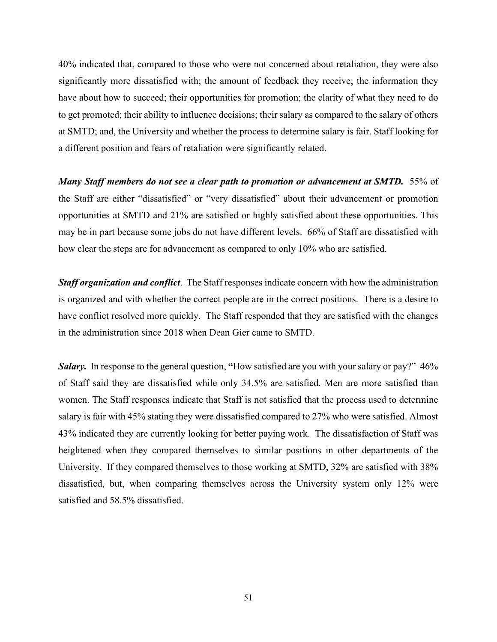40% indicated that, compared to those who were not concerned about retaliation, they were also significantly more dissatisfied with; the amount of feedback they receive; the information they have about how to succeed; their opportunities for promotion; the clarity of what they need to do to get promoted; their ability to influence decisions; their salary as compared to the salary of others at SMTD; and, the University and whether the process to determine salary is fair. Staff looking for a different position and fears of retaliation were significantly related.

*Many Staff members do not see a clear path to promotion or advancement at SMTD.* 55% of the Staff are either "dissatisfied" or "very dissatisfied" about their advancement or promotion opportunities at SMTD and 21% are satisfied or highly satisfied about these opportunities. This may be in part because some jobs do not have different levels. 66% of Staff are dissatisfied with how clear the steps are for advancement as compared to only 10% who are satisfied.

*Staff organization and conflict*. The Staff responses indicate concern with how the administration is organized and with whether the correct people are in the correct positions. There is a desire to have conflict resolved more quickly. The Staff responded that they are satisfied with the changes in the administration since 2018 when Dean Gier came to SMTD.

*Salary.* In response to the general question, **"**How satisfied are you with your salary or pay?" 46% of Staff said they are dissatisfied while only 34.5% are satisfied. Men are more satisfied than women. The Staff responses indicate that Staff is not satisfied that the process used to determine salary is fair with 45% stating they were dissatisfied compared to 27% who were satisfied. Almost 43% indicated they are currently looking for better paying work. The dissatisfaction of Staff was heightened when they compared themselves to similar positions in other departments of the University. If they compared themselves to those working at SMTD, 32% are satisfied with 38% dissatisfied, but, when comparing themselves across the University system only 12% were satisfied and 58.5% dissatisfied.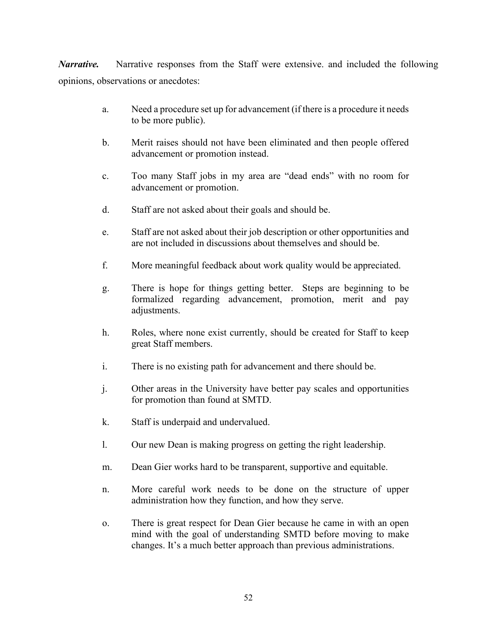*Narrative.* Narrative responses from the Staff were extensive. and included the following opinions, observations or anecdotes:

- a. Need a procedure set up for advancement (if there is a procedure it needs to be more public).
- b. Merit raises should not have been eliminated and then people offered advancement or promotion instead.
- c. Too many Staff jobs in my area are "dead ends" with no room for advancement or promotion.
- d. Staff are not asked about their goals and should be.
- e. Staff are not asked about their job description or other opportunities and are not included in discussions about themselves and should be.
- f. More meaningful feedback about work quality would be appreciated.
- g. There is hope for things getting better. Steps are beginning to be formalized regarding advancement, promotion, merit and pay adjustments.
- h. Roles, where none exist currently, should be created for Staff to keep great Staff members.
- i. There is no existing path for advancement and there should be.
- j. Other areas in the University have better pay scales and opportunities for promotion than found at SMTD.
- k. Staff is underpaid and undervalued.
- l. Our new Dean is making progress on getting the right leadership.
- m. Dean Gier works hard to be transparent, supportive and equitable.
- n. More careful work needs to be done on the structure of upper administration how they function, and how they serve.
- o. There is great respect for Dean Gier because he came in with an open mind with the goal of understanding SMTD before moving to make changes. It's a much better approach than previous administrations.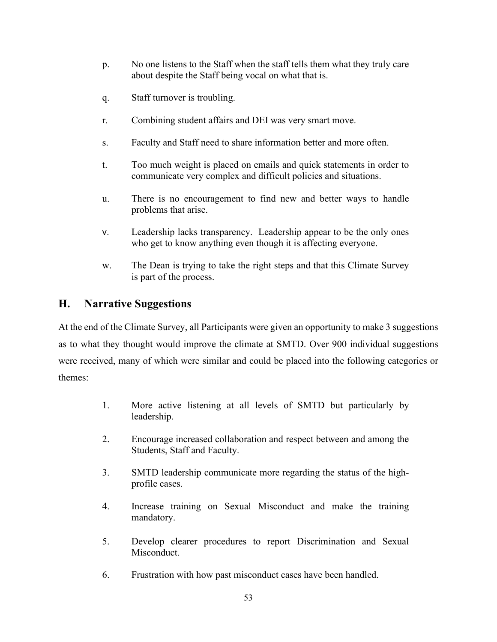- p. No one listens to the Staff when the staff tells them what they truly care about despite the Staff being vocal on what that is.
- q. Staff turnover is troubling.
- r. Combining student affairs and DEI was very smart move.
- s. Faculty and Staff need to share information better and more often.
- t. Too much weight is placed on emails and quick statements in order to communicate very complex and difficult policies and situations.
- u. There is no encouragement to find new and better ways to handle problems that arise.
- v. Leadership lacks transparency. Leadership appear to be the only ones who get to know anything even though it is affecting everyone.
- w. The Dean is trying to take the right steps and that this Climate Survey is part of the process.

# **H. Narrative Suggestions**

At the end of the Climate Survey, all Participants were given an opportunity to make 3 suggestions as to what they thought would improve the climate at SMTD. Over 900 individual suggestions were received, many of which were similar and could be placed into the following categories or themes:

- 1. More active listening at all levels of SMTD but particularly by leadership.
- 2. Encourage increased collaboration and respect between and among the Students, Staff and Faculty.
- 3. SMTD leadership communicate more regarding the status of the highprofile cases.
- 4. Increase training on Sexual Misconduct and make the training mandatory.
- 5. Develop clearer procedures to report Discrimination and Sexual Misconduct.
- 6. Frustration with how past misconduct cases have been handled.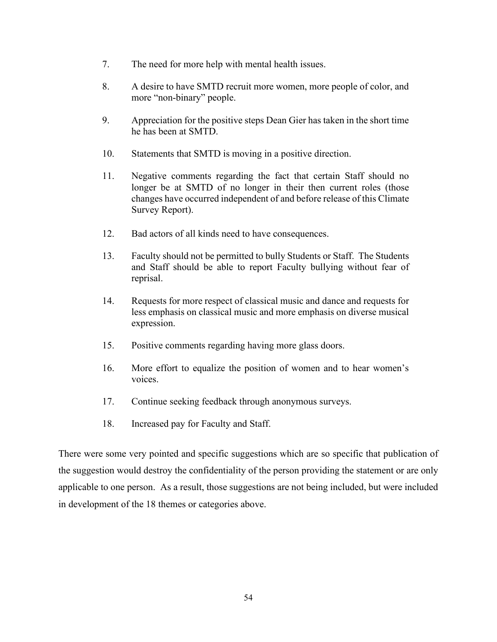- 7. The need for more help with mental health issues.
- 8. A desire to have SMTD recruit more women, more people of color, and more "non-binary" people.
- 9. Appreciation for the positive steps Dean Gier has taken in the short time he has been at SMTD.
- 10. Statements that SMTD is moving in a positive direction.
- 11. Negative comments regarding the fact that certain Staff should no longer be at SMTD of no longer in their then current roles (those changes have occurred independent of and before release of this Climate Survey Report).
- 12. Bad actors of all kinds need to have consequences.
- 13. Faculty should not be permitted to bully Students or Staff. The Students and Staff should be able to report Faculty bullying without fear of reprisal.
- 14. Requests for more respect of classical music and dance and requests for less emphasis on classical music and more emphasis on diverse musical expression.
- 15. Positive comments regarding having more glass doors.
- 16. More effort to equalize the position of women and to hear women's voices.
- 17. Continue seeking feedback through anonymous surveys.
- 18. Increased pay for Faculty and Staff.

There were some very pointed and specific suggestions which are so specific that publication of the suggestion would destroy the confidentiality of the person providing the statement or are only applicable to one person. As a result, those suggestions are not being included, but were included in development of the 18 themes or categories above.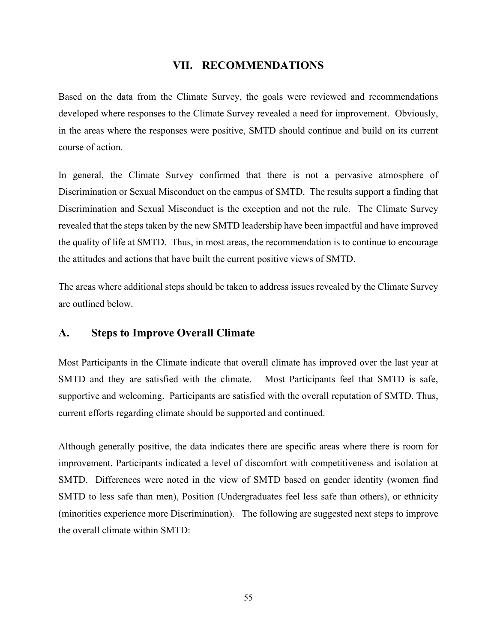#### **VII. RECOMMENDATIONS**

Based on the data from the Climate Survey, the goals were reviewed and recommendations developed where responses to the Climate Survey revealed a need for improvement. Obviously, in the areas where the responses were positive, SMTD should continue and build on its current course of action.

In general, the Climate Survey confirmed that there is not a pervasive atmosphere of Discrimination or Sexual Misconduct on the campus of SMTD. The results support a finding that Discrimination and Sexual Misconduct is the exception and not the rule. The Climate Survey revealed that the steps taken by the new SMTD leadership have been impactful and have improved the quality of life at SMTD. Thus, in most areas, the recommendation is to continue to encourage the attitudes and actions that have built the current positive views of SMTD.

The areas where additional steps should be taken to address issues revealed by the Climate Survey are outlined below.

#### **A. Steps to Improve Overall Climate**

Most Participants in the Climate indicate that overall climate has improved over the last year at SMTD and they are satisfied with the climate. Most Participants feel that SMTD is safe, supportive and welcoming. Participants are satisfied with the overall reputation of SMTD. Thus, current efforts regarding climate should be supported and continued.

Although generally positive, the data indicates there are specific areas where there is room for improvement. Participants indicated a level of discomfort with competitiveness and isolation at SMTD. Differences were noted in the view of SMTD based on gender identity (women find SMTD to less safe than men), Position (Undergraduates feel less safe than others), or ethnicity (minorities experience more Discrimination). The following are suggested next steps to improve the overall climate within SMTD: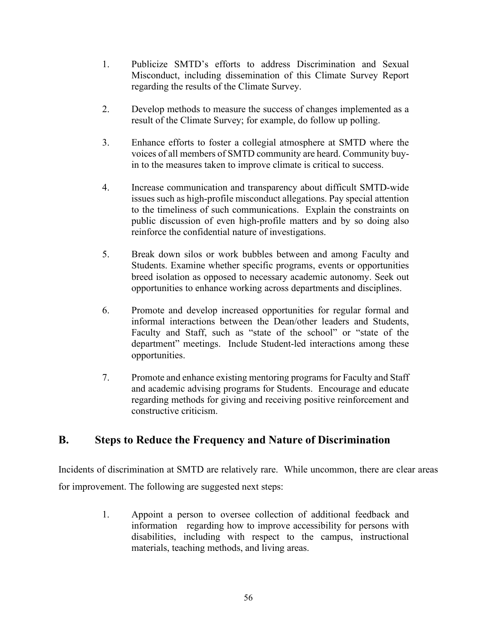- 1. Publicize SMTD's efforts to address Discrimination and Sexual Misconduct, including dissemination of this Climate Survey Report regarding the results of the Climate Survey.
- 2. Develop methods to measure the success of changes implemented as a result of the Climate Survey; for example, do follow up polling.
- 3. Enhance efforts to foster a collegial atmosphere at SMTD where the voices of all members of SMTD community are heard. Community buyin to the measures taken to improve climate is critical to success.
- 4. Increase communication and transparency about difficult SMTD-wide issues such as high-profile misconduct allegations. Pay special attention to the timeliness of such communications. Explain the constraints on public discussion of even high-profile matters and by so doing also reinforce the confidential nature of investigations.
- 5. Break down silos or work bubbles between and among Faculty and Students. Examine whether specific programs, events or opportunities breed isolation as opposed to necessary academic autonomy. Seek out opportunities to enhance working across departments and disciplines.
- 6. Promote and develop increased opportunities for regular formal and informal interactions between the Dean/other leaders and Students, Faculty and Staff, such as "state of the school" or "state of the department" meetings. Include Student-led interactions among these opportunities.
- 7. Promote and enhance existing mentoring programs for Faculty and Staff and academic advising programs for Students. Encourage and educate regarding methods for giving and receiving positive reinforcement and constructive criticism.

# **B. Steps to Reduce the Frequency and Nature of Discrimination**

Incidents of discrimination at SMTD are relatively rare. While uncommon, there are clear areas for improvement. The following are suggested next steps:

> 1. Appoint a person to oversee collection of additional feedback and information regarding how to improve accessibility for persons with disabilities, including with respect to the campus, instructional materials, teaching methods, and living areas.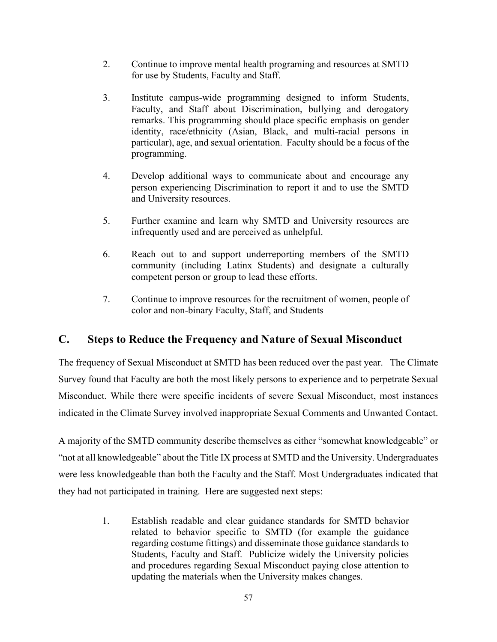- 2. Continue to improve mental health programing and resources at SMTD for use by Students, Faculty and Staff.
- 3. Institute campus-wide programming designed to inform Students, Faculty, and Staff about Discrimination, bullying and derogatory remarks. This programming should place specific emphasis on gender identity, race/ethnicity (Asian, Black, and multi-racial persons in particular), age, and sexual orientation. Faculty should be a focus of the programming.
- 4. Develop additional ways to communicate about and encourage any person experiencing Discrimination to report it and to use the SMTD and University resources.
- 5. Further examine and learn why SMTD and University resources are infrequently used and are perceived as unhelpful.
- 6. Reach out to and support underreporting members of the SMTD community (including Latinx Students) and designate a culturally competent person or group to lead these efforts.
- 7. Continue to improve resources for the recruitment of women, people of color and non-binary Faculty, Staff, and Students

# **C. Steps to Reduce the Frequency and Nature of Sexual Misconduct**

The frequency of Sexual Misconduct at SMTD has been reduced over the past year. The Climate Survey found that Faculty are both the most likely persons to experience and to perpetrate Sexual Misconduct. While there were specific incidents of severe Sexual Misconduct, most instances indicated in the Climate Survey involved inappropriate Sexual Comments and Unwanted Contact.

A majority of the SMTD community describe themselves as either "somewhat knowledgeable" or "not at all knowledgeable" about the Title IX process at SMTD and the University. Undergraduates were less knowledgeable than both the Faculty and the Staff. Most Undergraduates indicated that they had not participated in training. Here are suggested next steps:

> 1. Establish readable and clear guidance standards for SMTD behavior related to behavior specific to SMTD (for example the guidance regarding costume fittings) and disseminate those guidance standards to Students, Faculty and Staff. Publicize widely the University policies and procedures regarding Sexual Misconduct paying close attention to updating the materials when the University makes changes.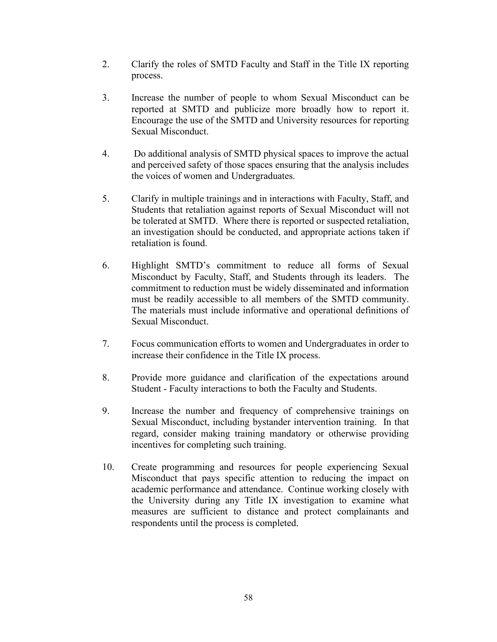- 2. Clarify the roles of SMTD Faculty and Staff in the Title IX reporting process.
- 3. Increase the number of people to whom Sexual Misconduct can be reported at SMTD and publicize more broadly how to report it. Encourage the use of the SMTD and University resources for reporting Sexual Misconduct.
- 4. Do additional analysis of SMTD physical spaces to improve the actual and perceived safety of those spaces ensuring that the analysis includes the voices of women and Undergraduates.
- 5. Clarify in multiple trainings and in interactions with Faculty, Staff, and Students that retaliation against reports of Sexual Misconduct will not be tolerated at SMTD. Where there is reported or suspected retaliation, an investigation should be conducted, and appropriate actions taken if retaliation is found.
- 6. Highlight SMTD's commitment to reduce all forms of Sexual Misconduct by Faculty, Staff, and Students through its leaders. The commitment to reduction must be widely disseminated and information must be readily accessible to all members of the SMTD community. The materials must include informative and operational definitions of Sexual Misconduct.
- 7. Focus communication efforts to women and Undergraduates in order to increase their confidence in the Title IX process.
- 8. Provide more guidance and clarification of the expectations around Student - Faculty interactions to both the Faculty and Students.
- 9. Increase the number and frequency of comprehensive trainings on Sexual Misconduct, including bystander intervention training. In that regard, consider making training mandatory or otherwise providing incentives for completing such training.
- 10. Create programming and resources for people experiencing Sexual Misconduct that pays specific attention to reducing the impact on academic performance and attendance. Continue working closely with the University during any Title IX investigation to examine what measures are sufficient to distance and protect complainants and respondents until the process is completed.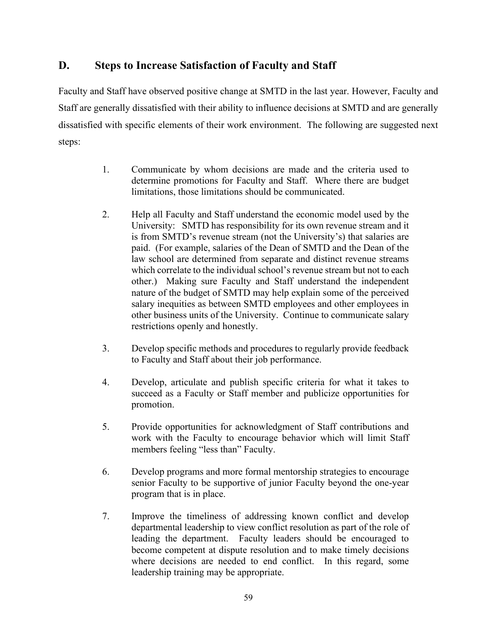# **D. Steps to Increase Satisfaction of Faculty and Staff**

Faculty and Staff have observed positive change at SMTD in the last year. However, Faculty and Staff are generally dissatisfied with their ability to influence decisions at SMTD and are generally dissatisfied with specific elements of their work environment. The following are suggested next steps:

- 1. Communicate by whom decisions are made and the criteria used to determine promotions for Faculty and Staff. Where there are budget limitations, those limitations should be communicated.
- 2. Help all Faculty and Staff understand the economic model used by the University: SMTD has responsibility for its own revenue stream and it is from SMTD's revenue stream (not the University's) that salaries are paid. (For example, salaries of the Dean of SMTD and the Dean of the law school are determined from separate and distinct revenue streams which correlate to the individual school's revenue stream but not to each other.) Making sure Faculty and Staff understand the independent nature of the budget of SMTD may help explain some of the perceived salary inequities as between SMTD employees and other employees in other business units of the University. Continue to communicate salary restrictions openly and honestly.
- 3. Develop specific methods and procedures to regularly provide feedback to Faculty and Staff about their job performance.
- 4. Develop, articulate and publish specific criteria for what it takes to succeed as a Faculty or Staff member and publicize opportunities for promotion.
- 5. Provide opportunities for acknowledgment of Staff contributions and work with the Faculty to encourage behavior which will limit Staff members feeling "less than" Faculty.
- 6. Develop programs and more formal mentorship strategies to encourage senior Faculty to be supportive of junior Faculty beyond the one-year program that is in place.
- 7. Improve the timeliness of addressing known conflict and develop departmental leadership to view conflict resolution as part of the role of leading the department. Faculty leaders should be encouraged to become competent at dispute resolution and to make timely decisions where decisions are needed to end conflict. In this regard, some leadership training may be appropriate.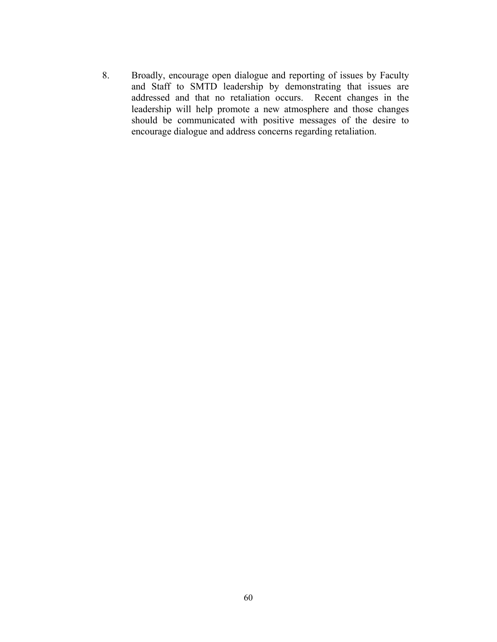8. Broadly, encourage open dialogue and reporting of issues by Faculty and Staff to SMTD leadership by demonstrating that issues are addressed and that no retaliation occurs. Recent changes in the leadership will help promote a new atmosphere and those changes should be communicated with positive messages of the desire to encourage dialogue and address concerns regarding retaliation.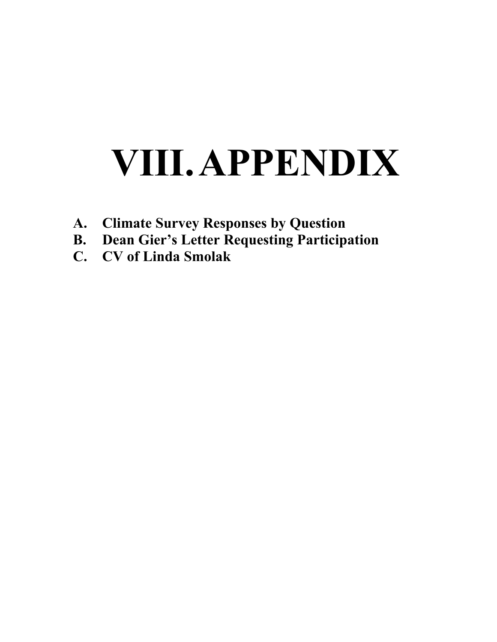# **VIII.APPENDIX**

- **A. Climate Survey Responses by Question**
- **B. Dean Gier's Letter Requesting Participation**
- **C. CV of Linda Smolak**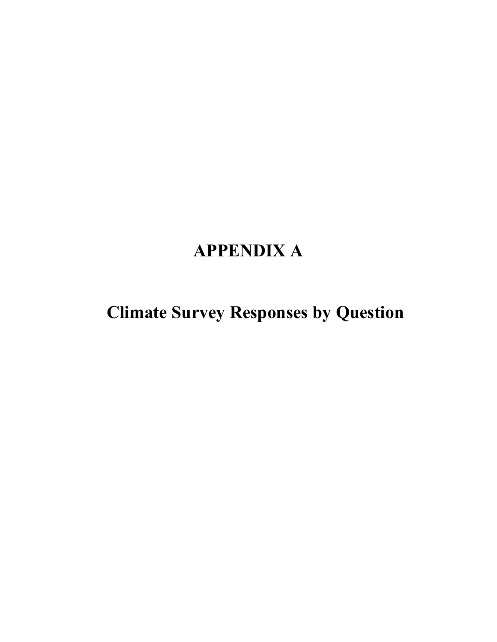# **APPENDIX A**

**Climate Survey Responses by Question**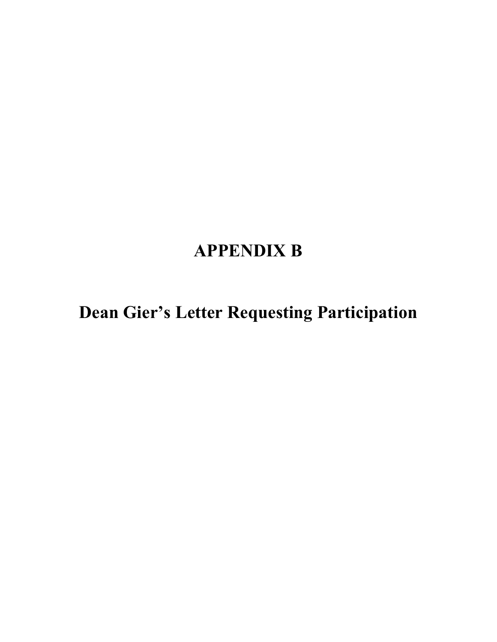# **APPENDIX B**

**Dean Gier's Letter Requesting Participation**